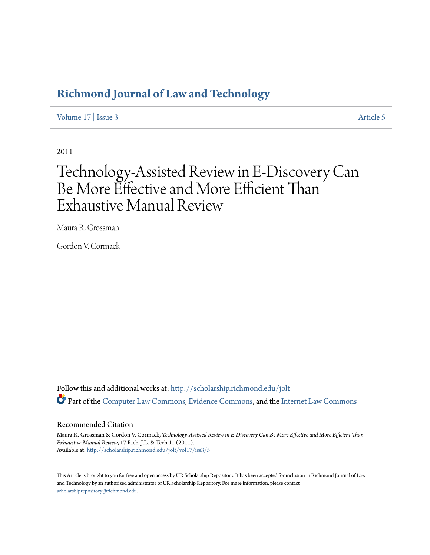## **[Richmond Journal of Law and Technology](http://scholarship.richmond.edu/jolt?utm_source=scholarship.richmond.edu%2Fjolt%2Fvol17%2Fiss3%2F5&utm_medium=PDF&utm_campaign=PDFCoverPages)**

[Volume 17](http://scholarship.richmond.edu/jolt/vol17?utm_source=scholarship.richmond.edu%2Fjolt%2Fvol17%2Fiss3%2F5&utm_medium=PDF&utm_campaign=PDFCoverPages) | [Issue 3](http://scholarship.richmond.edu/jolt/vol17/iss3?utm_source=scholarship.richmond.edu%2Fjolt%2Fvol17%2Fiss3%2F5&utm_medium=PDF&utm_campaign=PDFCoverPages) [Article 5](http://scholarship.richmond.edu/jolt/vol17/iss3/5?utm_source=scholarship.richmond.edu%2Fjolt%2Fvol17%2Fiss3%2F5&utm_medium=PDF&utm_campaign=PDFCoverPages)

2011

# Technology-Assisted Review in E-Discovery Can Be More Effective and More Efficient Than Exhaustive Manual Review

Maura R. Grossman

Gordon V. Cormack

Follow this and additional works at: [http://scholarship.richmond.edu/jolt](http://scholarship.richmond.edu/jolt?utm_source=scholarship.richmond.edu%2Fjolt%2Fvol17%2Fiss3%2F5&utm_medium=PDF&utm_campaign=PDFCoverPages) Part of the [Computer Law Commons,](http://network.bepress.com/hgg/discipline/837?utm_source=scholarship.richmond.edu%2Fjolt%2Fvol17%2Fiss3%2F5&utm_medium=PDF&utm_campaign=PDFCoverPages) [Evidence Commons,](http://network.bepress.com/hgg/discipline/601?utm_source=scholarship.richmond.edu%2Fjolt%2Fvol17%2Fiss3%2F5&utm_medium=PDF&utm_campaign=PDFCoverPages) and the [Internet Law Commons](http://network.bepress.com/hgg/discipline/892?utm_source=scholarship.richmond.edu%2Fjolt%2Fvol17%2Fiss3%2F5&utm_medium=PDF&utm_campaign=PDFCoverPages)

#### Recommended Citation

Maura R. Grossman & Gordon V. Cormack, *Technology-Assisted Review in E-Discovery Can Be More Effective and More Efficient Than Exhaustive Manual Review*, 17 Rich. J.L. & Tech 11 (2011). Available at: [http://scholarship.richmond.edu/jolt/vol17/iss3/5](http://scholarship.richmond.edu/jolt/vol17/iss3/5?utm_source=scholarship.richmond.edu%2Fjolt%2Fvol17%2Fiss3%2F5&utm_medium=PDF&utm_campaign=PDFCoverPages)

This Article is brought to you for free and open access by UR Scholarship Repository. It has been accepted for inclusion in Richmond Journal of Law and Technology by an authorized administrator of UR Scholarship Repository. For more information, please contact [scholarshiprepository@richmond.edu.](mailto:scholarshiprepository@richmond.edu)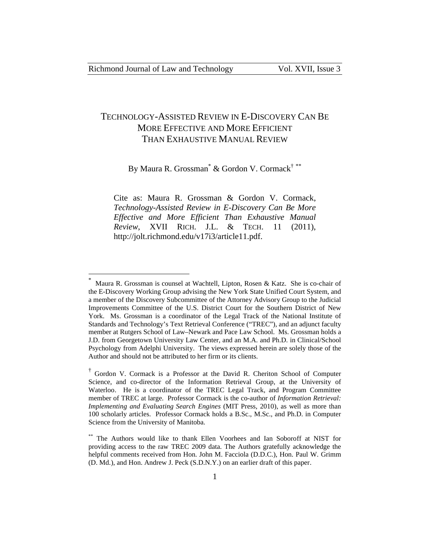$\overline{a}$ 

## TECHNOLOGY-ASSISTED REVIEW IN E-DISCOVERY CAN BE MORE EFFECTIVE AND MORE EFFICIENT THAN EXHAUSTIVE MANUAL REVIEW

## By Maura R. Grossman<sup>\*</sup> & Gordon V. Cormack<sup>†</sup> \*\*

Cite as: Maura R. Grossman & Gordon V. Cormack, *Technology-Assisted Review in E-Discovery Can Be More Effective and More Efficient Than Exhaustive Manual Review*, XVII RICH. J.L. & TECH. 11 (2011), http://jolt.richmond.edu/v17i3/article11.pdf.

<sup>\*</sup> Maura R. Grossman is counsel at Wachtell, Lipton, Rosen & Katz. She is co-chair of the E-Discovery Working Group advising the New York State Unified Court System, and a member of the Discovery Subcommittee of the Attorney Advisory Group to the Judicial Improvements Committee of the U.S. District Court for the Southern District of New York. Ms. Grossman is a coordinator of the Legal Track of the National Institute of Standards and Technology's Text Retrieval Conference ("TREC"), and an adjunct faculty member at Rutgers School of Law–Newark and Pace Law School. Ms. Grossman holds a J.D. from Georgetown University Law Center, and an M.A. and Ph.D. in Clinical/School Psychology from Adelphi University. The views expressed herein are solely those of the Author and should not be attributed to her firm or its clients.

<sup>†</sup> Gordon V. Cormack is a Professor at the David R. Cheriton School of Computer Science, and co-director of the Information Retrieval Group, at the University of Waterloo. He is a coordinator of the TREC Legal Track, and Program Committee member of TREC at large. Professor Cormack is the co-author of *Information Retrieval: Implementing and Evaluating Search Engines* (MIT Press, 2010), as well as more than 100 scholarly articles. Professor Cormack holds a B.Sc., M.Sc., and Ph.D. in Computer Science from the University of Manitoba.

<sup>\*\*</sup> The Authors would like to thank Ellen Voorhees and Ian Soboroff at NIST for providing access to the raw TREC 2009 data. The Authors gratefully acknowledge the helpful comments received from Hon. John M. Facciola (D.D.C.), Hon. Paul W. Grimm (D. Md.), and Hon. Andrew J. Peck (S.D.N.Y.) on an earlier draft of this paper.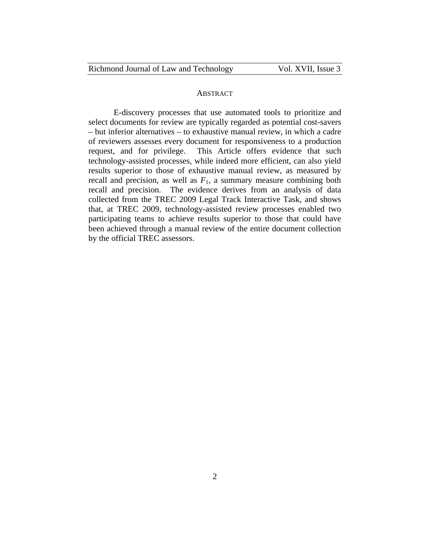#### **ABSTRACT**

E-discovery processes that use automated tools to prioritize and select documents for review are typically regarded as potential cost-savers – but inferior alternatives – to exhaustive manual review, in which a cadre of reviewers assesses every document for responsiveness to a production request, and for privilege. This Article offers evidence that such technology-assisted processes, while indeed more efficient, can also yield results superior to those of exhaustive manual review, as measured by recall and precision, as well as  $F_1$ , a summary measure combining both recall and precision. The evidence derives from an analysis of data collected from the TREC 2009 Legal Track Interactive Task, and shows that, at TREC 2009, technology-assisted review processes enabled two participating teams to achieve results superior to those that could have been achieved through a manual review of the entire document collection by the official TREC assessors.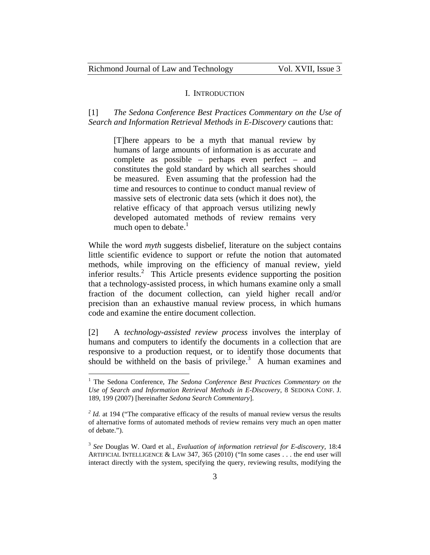#### I. INTRODUCTION

[1] *The Sedona Conference Best Practices Commentary on the Use of Search and Information Retrieval Methods in E-Discovery* cautions that:

[T]here appears to be a myth that manual review by humans of large amounts of information is as accurate and complete as possible – perhaps even perfect – and constitutes the gold standard by which all searches should be measured. Even assuming that the profession had the time and resources to continue to conduct manual review of massive sets of electronic data sets (which it does not), the relative efficacy of that approach versus utilizing newly developed automated methods of review remains very much open to debate. $\frac{1}{1}$ 

While the word *myth* suggests disbelief, literature on the subject contains little scientific evidence to support or refute the notion that automated methods, while improving on the efficiency of manual review, yield inferior results.<sup>2</sup> This Article presents evidence supporting the position that a technology-assisted process, in which humans examine only a small fraction of the document collection, can yield higher recall and/or precision than an exhaustive manual review process, in which humans code and examine the entire document collection.

[2] A *technology-assisted review process* involves the interplay of humans and computers to identify the documents in a collection that are responsive to a production request, or to identify those documents that should be withheld on the basis of privilege.<sup>3</sup> A human examines and

<sup>&</sup>lt;sup>1</sup> The Sedona Conference, *The Sedona Conference Best Practices Commentary on the Use of Search and Information Retrieval Methods in E-Discovery*, 8 SEDONA CONF. J. 189, 199 (2007) [hereinafter *Sedona Search Commentary*].

<sup>&</sup>lt;sup>2</sup> *Id.* at 194 ("The comparative efficacy of the results of manual review versus the results of alternative forms of automated methods of review remains very much an open matter of debate.").

<sup>3</sup> *See* Douglas W. Oard et al., *Evaluation of information retrieval for E-discovery,* 18:4 ARTIFICIAL INTELLIGENCE & LAW 347, 365 (2010) ("In some cases . . . the end user will interact directly with the system, specifying the query, reviewing results, modifying the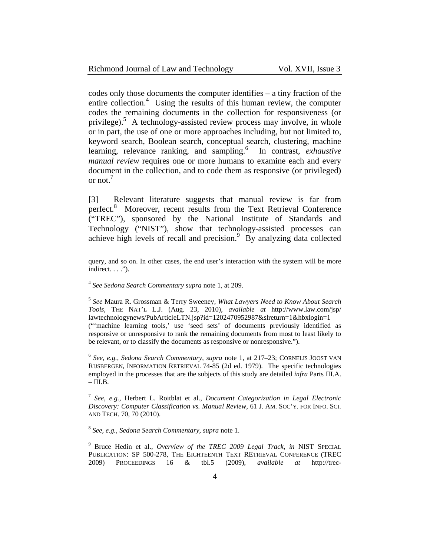| Richmond Journal of Law and Technology | Vol. XVII, Issue 3 |
|----------------------------------------|--------------------|
|----------------------------------------|--------------------|

codes only those documents the computer identifies – a tiny fraction of the entire collection.<sup>4</sup> Using the results of this human review, the computer codes the remaining documents in the collection for responsiveness (or privilege).<sup>5</sup> A technology-assisted review process may involve, in whole or in part, the use of one or more approaches including, but not limited to, keyword search, Boolean search, conceptual search, clustering, machine learning, relevance ranking, and sampling.<sup>6</sup> In contrast, *exhaustive manual review* requires one or more humans to examine each and every document in the collection, and to code them as responsive (or privileged) or not. $'$ 

[3] Relevant literature suggests that manual review is far from perfect.<sup>8</sup> Moreover, recent results from the Text Retrieval Conference ("TREC"), sponsored by the National Institute of Standards and Technology ("NIST"), show that technology-assisted processes can achieve high levels of recall and precision. $9$  By analyzing data collected

query, and so on. In other cases, the end user's interaction with the system will be more indirect.  $\ldots$ .").

<sup>4</sup> *See Sedona Search Commentary supra* note 1, at 209.

 $\overline{a}$ 

<sup>5</sup> *See* Maura R. Grossman & Terry Sweeney, *What Lawyers Need to Know About Search Tools*, THE NAT'L L.J. (Aug. 23, 2010), *available at* http://www.law.com/jsp/ lawtechnologynews/PubArticleLTN.jsp?id=1202470952987&slreturn=1&hbxlogin=1 ("'machine learning tools,' use 'seed sets' of documents previously identified as responsive or unresponsive to rank the remaining documents from most to least likely to be relevant, or to classify the documents as responsive or nonresponsive.").

<sup>6</sup> *See, e.g.*, *Sedona Search Commentary*, *supra* note 1, at 217–23; CORNELIS JOOST VAN RIJSBERGEN, INFORMATION RETRIEVAL 74-85 (2d ed. 1979). The specific technologies employed in the processes that are the subjects of this study are detailed *infra* Parts III.A.  $-$  III.B.

<sup>7</sup> *See, e.g.,* Herbert L. Roitblat et al., *Document Categorization in Legal Electronic Discovery: Computer Classification vs. Manual Review*, 61 J. AM. SOC'Y. FOR INFO. SCI. AND TECH. 70, 70 (2010).

<sup>8</sup> *See, e.g.*, *Sedona Search Commentary*, *supra* note 1.

<sup>9</sup> Bruce Hedin et al., *Overview of the TREC 2009 Legal Track*, *in* NIST SPECIAL PUBLICATION: SP 500-278, THE EIGHTEENTH TEXT RETRIEVAL CONFERENCE (TREC 2009) PROCEEDINGS 16 & tbl.5 (2009), *available at* http://trec-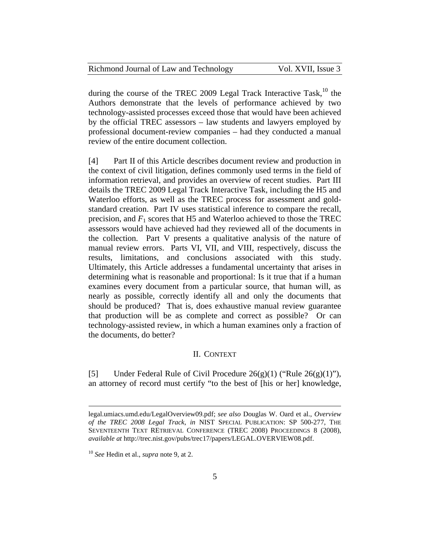| Richmond Journal of Law and Technology |  |  |  |  | Vol. XVII, Issue 3 |  |  |
|----------------------------------------|--|--|--|--|--------------------|--|--|
|----------------------------------------|--|--|--|--|--------------------|--|--|

during the course of the TREC 2009 Legal Track Interactive Task,<sup>10</sup> the Authors demonstrate that the levels of performance achieved by two technology-assisted processes exceed those that would have been achieved by the official TREC assessors – law students and lawyers employed by professional document-review companies – had they conducted a manual review of the entire document collection.

[4] Part II of this Article describes document review and production in the context of civil litigation, defines commonly used terms in the field of information retrieval, and provides an overview of recent studies. Part III details the TREC 2009 Legal Track Interactive Task, including the H5 and Waterloo efforts, as well as the TREC process for assessment and goldstandard creation. Part IV uses statistical inference to compare the recall, precision, and  $F_1$  scores that H5 and Waterloo achieved to those the TREC assessors would have achieved had they reviewed all of the documents in the collection. Part V presents a qualitative analysis of the nature of manual review errors. Parts VI, VII, and VIII, respectively, discuss the results, limitations, and conclusions associated with this study. Ultimately, this Article addresses a fundamental uncertainty that arises in determining what is reasonable and proportional: Is it true that if a human examines every document from a particular source, that human will, as nearly as possible, correctly identify all and only the documents that should be produced? That is, does exhaustive manual review guarantee that production will be as complete and correct as possible? Or can technology-assisted review, in which a human examines only a fraction of the documents, do better?

#### II. CONTEXT

[5] Under Federal Rule of Civil Procedure  $26(g)(1)$  ("Rule  $26(g)(1)$ "), an attorney of record must certify "to the best of [his or her] knowledge,

legal.umiacs.umd.edu/LegalOverview09.pdf; *see also* Douglas W. Oard et al., *Overview of the TREC 2008 Legal Track*, *in* NIST SPECIAL PUBLICATION: SP 500-277, THE SEVENTEENTH TEXT RETRIEVAL CONFERENCE (TREC 2008) PROCEEDINGS 8 (2008), *available at* http://trec.nist.gov/pubs/trec17/papers/LEGAL.OVERVIEW08.pdf.

<sup>10</sup> *See* Hedin et al., *supra* note 9, at 2.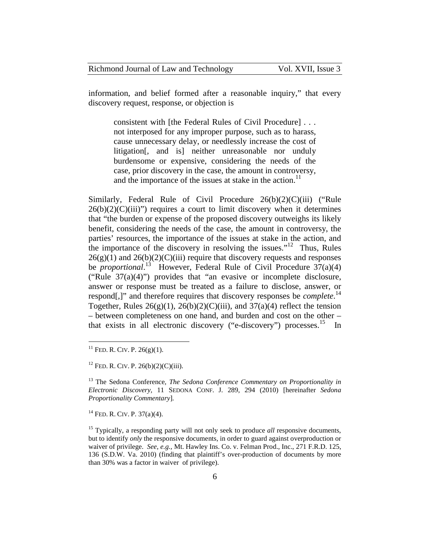information, and belief formed after a reasonable inquiry," that every discovery request, response, or objection is

consistent with [the Federal Rules of Civil Procedure] . . . not interposed for any improper purpose, such as to harass, cause unnecessary delay, or needlessly increase the cost of litigation[, and is] neither unreasonable nor unduly burdensome or expensive, considering the needs of the case, prior discovery in the case, the amount in controversy, and the importance of the issues at stake in the action.<sup>11</sup>

Similarly, Federal Rule of Civil Procedure 26(b)(2)(C)(iii) ("Rule  $26(b)(2)(C)(iii)$ ") requires a court to limit discovery when it determines that "the burden or expense of the proposed discovery outweighs its likely benefit, considering the needs of the case, the amount in controversy, the parties' resources, the importance of the issues at stake in the action, and the importance of the discovery in resolving the issues."<sup>12</sup> Thus, Rules  $26(g)(1)$  and  $26(b)(2)(C)(iii)$  require that discovery requests and responses be *proportional*. 13 However, Federal Rule of Civil Procedure 37(a)(4) ("Rule 37(a)(4)") provides that "an evasive or incomplete disclosure, answer or response must be treated as a failure to disclose, answer, or respond[,]" and therefore requires that discovery responses be *complete*. 14 Together, Rules  $26(g)(1)$ ,  $26(b)(2)(C)(iii)$ , and  $37(a)(4)$  reflect the tension – between completeness on one hand, and burden and cost on the other – that exists in all electronic discovery ("e-discovery") processes.<sup>15</sup> In

 $\overline{a}$ 

 $14$  FeD. R. CIV. P. 37(a)(4).

<sup>&</sup>lt;sup>11</sup> FED. R. CIV. P.  $26(g)(1)$ .

 $12$  FED. R. CIV. P. 26(b)(2)(C)(iii).

<sup>&</sup>lt;sup>13</sup> The Sedona Conference, *The Sedona Conference Commentary on Proportionality in Electronic Discovery,* 11 SEDONA CONF. J. 289, 294 (2010) [hereinafter *Sedona Proportionality Commentary*]*.*

<sup>&</sup>lt;sup>15</sup> Typically, a responding party will not only seek to produce *all* responsive documents, but to identify *only* the responsive documents, in order to guard against overproduction or waiver of privilege. *See*, *e.g.,* Mt. Hawley Ins. Co. v. Felman Prod., Inc., 271 F.R.D. 125, 136 (S.D.W. Va. 2010) (finding that plaintiff's over-production of documents by more than 30% was a factor in waiver of privilege).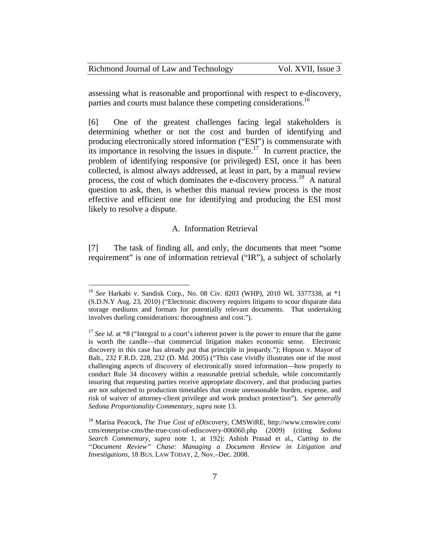| Richmond Journal of Law and Technology | Vol. XVII, Issue 3 |
|----------------------------------------|--------------------|
|----------------------------------------|--------------------|

assessing what is reasonable and proportional with respect to e-discovery, parties and courts must balance these competing considerations.<sup>16</sup>

[6] One of the greatest challenges facing legal stakeholders is determining whether or not the cost and burden of identifying and producing electronically stored information ("ESI") is commensurate with its importance in resolving the issues in dispute.<sup>17</sup> In current practice, the problem of identifying responsive (or privileged) ESI, once it has been collected, is almost always addressed, at least in part, by a manual review process, the cost of which dominates the e-discovery process.<sup>18</sup> A natural question to ask, then, is whether this manual review process is the most effective and efficient one for identifying and producing the ESI most likely to resolve a dispute.

#### A. Information Retrieval

[7] The task of finding all, and only, the documents that meet "some requirement" is one of information retrieval ("IR"), a subject of scholarly

<sup>16</sup> *See* Harkabi v. Sandisk Corp., No. 08 Civ. 8203 (WHP), 2010 WL 3377338, at \*1 (S.D.N.Y Aug. 23, 2010) ("Electronic discovery requires litigants to scour disparate data storage mediums and formats for potentially relevant documents. That undertaking involves dueling considerations: thoroughness and cost.").

<sup>&</sup>lt;sup>17</sup> *See id.* at \*8 ("Integral to a court's inherent power is the power to ensure that the game is worth the candle—that commercial litigation makes economic sense. Electronic discovery in this case has already put that principle in jeopardy."); Hopson v. Mayor of Balt., 232 F.R.D. 228, 232 (D. Md. 2005) ("This case vividly illustrates one of the most challenging aspects of discovery of electronically stored information—how properly to conduct Rule 34 discovery within a reasonable pretrial schedule, while concomitantly insuring that requesting parties receive appropriate discovery, and that producing parties are not subjected to production timetables that create unreasonable burden, expense, and risk of waiver of attorney-client privilege and work product protection"). *See generally Sedona Proportionality Commentary*, *supra* note 13.

<sup>18</sup> Marisa Peacock, *The True Cost of eDiscovery*, CMSWIRE, http://www.cmswire.com/ cms/enterprise-cms/the-true-cost-of-ediscovery-006060.php (2009) (citing *Sedona Search Commentary*, *supra* note 1, at 192); Ashish Prasad et al., *Cutting to the "Document Review" Chase: Managing a Document Review in Litigation and Investigations*, 18 BUS. LAW TODAY, 2, Nov.–Dec. 2008.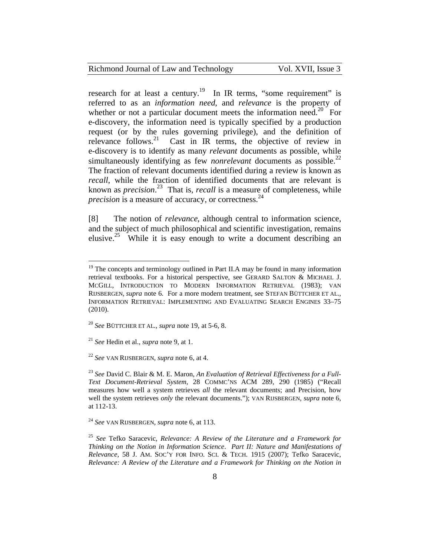research for at least a century.<sup>19</sup> In IR terms, "some requirement" is referred to as an *information need*, and *relevance* is the property of whether or not a particular document meets the information need.<sup>20</sup> For e-discovery, the information need is typically specified by a production request (or by the rules governing privilege), and the definition of relevance follows.<sup>21</sup> Cast in IR terms, the objective of review in e-discovery is to identify as many *relevant* documents as possible, while simultaneously identifying as few *nonrelevant* documents as possible.<sup>22</sup> The fraction of relevant documents identified during a review is known as *recall*, while the fraction of identified documents that are relevant is known as *precision*. 23 That is, *recall* is a measure of completeness, while *precision* is a measure of accuracy, or correctness.<sup>24</sup>

[8] The notion of *relevance*, although central to information science, and the subject of much philosophical and scientific investigation, remains elusive.<sup>25</sup> While it is easy enough to write a document describing an

<sup>21</sup> *See* Hedin et al., *supra* note 9, at 1.

 $\overline{a}$ 

<sup>22</sup> *See* VAN RIJSBERGEN, *supra* note 6, at 4.

<sup>23</sup> *See* David C. Blair & M. E. Maron, *An Evaluation of Retrieval Effectiveness for a Full-Text Document-Retrieval System*, 28 COMMC'NS ACM 289, 290 (1985) ("Recall measures how well a system retrieves *all* the relevant documents; and Precision, how well the system retrieves *only* the relevant documents."); VAN RIJSBERGEN, *supra* note 6, at 112-13.

 $19$  The concepts and terminology outlined in Part II.A may be found in many information retrieval textbooks. For a historical perspective, see GERARD SALTON & MICHAEL J. MCGILL, INTRODUCTION TO MODERN INFORMATION RETRIEVAL (1983); VAN RIJSBERGEN, *supra* note 6. For a more modern treatment, see STEFAN BÜTTCHER ET AL., INFORMATION RETRIEVAL: IMPLEMENTING AND EVALUATING SEARCH ENGINES 33–75 (2010).

<sup>20</sup> *See* BÜTTCHER ET AL., *supra* note 19, at 5-6, 8.

<sup>24</sup> *See* VAN RIJSBERGEN, *supra* note 6, at 113.

<sup>25</sup> *See* Tefko Saracevic, *Relevance: A Review of the Literature and a Framework for Thinking on the Notion in Information Science*. *Part II: Nature and Manifestations of Relevance*, 58 J. AM. SOC'Y FOR INFO. SCI. & TECH. 1915 (2007); Tefko Saracevic, *Relevance: A Review of the Literature and a Framework for Thinking on the Notion in*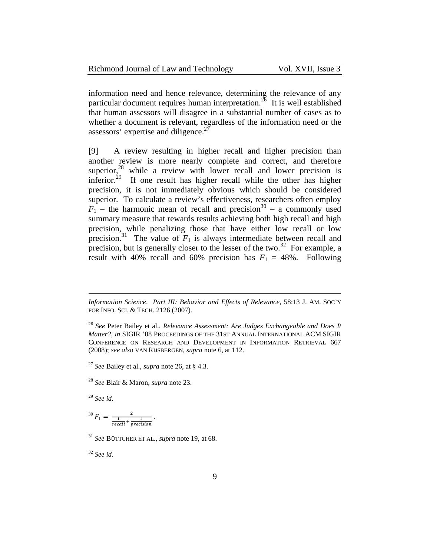| Richmond Journal of Law and Technology | Vol. XVII, Issue 3 |
|----------------------------------------|--------------------|
|----------------------------------------|--------------------|

information need and hence relevance, determining the relevance of any particular document requires human interpretation.<sup>26</sup> It is well established that human assessors will disagree in a substantial number of cases as to whether a document is relevant, regardless of the information need or the assessors' expertise and diligence.<sup>27</sup>

[9] A review resulting in higher recall and higher precision than another review is more nearly complete and correct, and therefore superior, $28$  while a review with lower recall and lower precision is inferior.<sup>29</sup> If one result has higher recall while the other has higher precision, it is not immediately obvious which should be considered superior. To calculate a review's effectiveness, researchers often employ  $F_1$  – the harmonic mean of recall and precision<sup>30</sup> – a commonly used summary measure that rewards results achieving both high recall and high precision, while penalizing those that have either low recall or low precision.<sup>31</sup> The value of  $F_1$  is always intermediate between recall and precision, but is generally closer to the lesser of the two.<sup>32</sup> For example, a result with 40% recall and 60% precision has  $F_1 = 48\%$ . Following

<sup>29</sup> *See id*.

 $\overline{a}$ 

$$
^{30}F_1 = \frac{2}{\frac{1}{recall} + \frac{1}{precision}}.
$$

<sup>31</sup> *See* BÜTTCHER ET AL., *supra* note 19, at 68.

<sup>32</sup> *See id.*

*Information Science*. *Part III: Behavior and Effects of Relevance*, 58:13 J. AM. SOC'Y FOR INFO. SCI. & TECH. 2126 (2007).

<sup>26</sup> *See* Peter Bailey et al., *Relevance Assessment: Are Judges Exchangeable and Does It Matter?*, *in* SIGIR '08 PROCEEDINGS OF THE 31ST ANNUAL INTERNATIONAL ACM SIGIR CONFERENCE ON RESEARCH AND DEVELOPMENT IN INFORMATION RETRIEVAL 667 (2008); *see also* VAN RIJSBERGEN, *supra* note 6, at 112.

<sup>27</sup> *See* Bailey et al., *supra* note 26, at § 4.3.

<sup>28</sup> *See* Blair & Maron, *supra* note 23.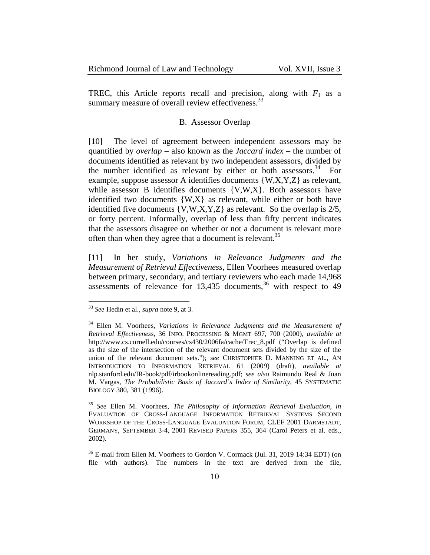| Richmond Journal of Law and Technology | Vol. XVII, Issue 3 |
|----------------------------------------|--------------------|
|----------------------------------------|--------------------|

TREC, this Article reports recall and precision, along with  $F_1$  as a summary measure of overall review effectiveness.<sup>33</sup>

#### B. Assessor Overlap

[10] The level of agreement between independent assessors may be quantified by *overlap* – also known as the *Jaccard index* – the number of documents identified as relevant by two independent assessors, divided by the number identified as relevant by either or both assessors.<sup>34</sup> For example, suppose assessor A identifies documents {W,X,Y,Z} as relevant, while assessor B identifies documents  $\{V, W, X\}$ . Both assessors have identified two documents  $\{W,X\}$  as relevant, while either or both have identified five documents {V,W,X,Y,Z} as relevant. So the overlap is 2/5, or forty percent. Informally, overlap of less than fifty percent indicates that the assessors disagree on whether or not a document is relevant more often than when they agree that a document is relevant.<sup>35</sup>

[11] In her study, *Variations in Relevance Judgments and the Measurement of Retrieval Effectiveness*, Ellen Voorhees measured overlap between primary, secondary, and tertiary reviewers who each made 14,968 assessments of relevance for  $13,435$  documents,  $36$  with respect to 49

<sup>33</sup> *See* Hedin et al., *supra* note 9, at 3.

<sup>34</sup> Ellen M. Voorhees, *Variations in Relevance Judgments and the Measurement of Retrieval Effectiveness*, 36 INFO. PROCESSING & MGMT 697, 700 (2000), *available at*  http://www.cs.cornell.edu/courses/cs430/2006fa/cache/Trec\_8.pdf ("Overlap is defined as the size of the intersection of the relevant document sets divided by the size of the union of the relevant document sets."); *see* CHRISTOPHER D. MANNING ET AL., AN INTRODUCTION TO INFORMATION RETRIEVAL 61 (2009) (draft), *available at*  nlp.stanford.edu/IR-book/pdf/irbookonlinereading.pdf; *see also* Raimundo Real & Juan M. Vargas, *The Probabilistic Basis of Jaccard's Index of Similarity*, 45 SYSTEMATIC BIOLOGY 380, 381 (1996).

<sup>35</sup> *See* Ellen M. Voorhees, *The Philosophy of Information Retrieval Evaluation*, *in* EVALUATION OF CROSS-LANGUAGE INFORMATION RETRIEVAL SYSTEMS SECOND WORKSHOP OF THE CROSS-LANGUAGE EVALUATION FORUM, CLEF 2001 DARMSTADT, GERMANY, SEPTEMBER 3-4, 2001 REVISED PAPERS 355, 364 (Carol Peters et al. eds., 2002).

<sup>&</sup>lt;sup>36</sup> E-mail from Ellen M. Voorhees to Gordon V. Cormack (Jul. 31, 2019 14:34 EDT) (on file with authors). The numbers in the text are derived from the file,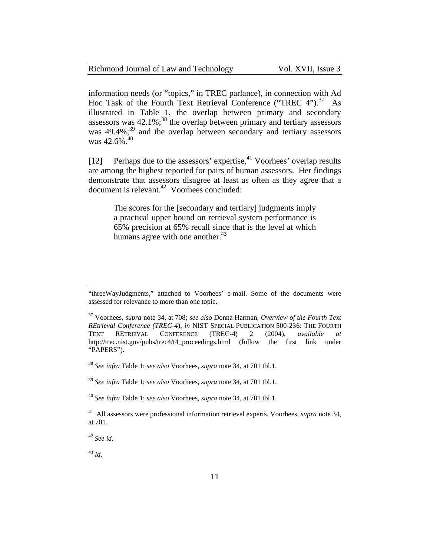information needs (or "topics," in TREC parlance), in connection with Ad Hoc Task of the Fourth Text Retrieval Conference ("TREC  $4$ ").<sup>37</sup> As illustrated in Table 1, the overlap between primary and secondary assessors was  $42.1\%$ ;<sup>38</sup> the overlap between primary and tertiary assessors was  $49.4\%$ ;<sup>39</sup> and the overlap between secondary and tertiary assessors was  $42.6\%$ <sup>40</sup>

[12] Perhaps due to the assessors' expertise,  $41$  Voorhees' overlap results are among the highest reported for pairs of human assessors. Her findings demonstrate that assessors disagree at least as often as they agree that a document is relevant.<sup>42</sup> Voorhees concluded:

The scores for the [secondary and tertiary] judgments imply a practical upper bound on retrieval system performance is 65% precision at 65% recall since that is the level at which humans agree with one another. $43$ 

<sup>38</sup> *See infra* Table 1; *see also* Voorhees, *supra* note 34, at 701 tbl.1.

<sup>39</sup> *See infra* Table 1; *see also* Voorhees, *supra* note 34, at 701 tbl.1.

<sup>40</sup> *See infra* Table 1; *see also* Voorhees, *supra* note 34, at 701 tbl.1.

41 All assessors were professional information retrieval experts. Voorhees, *supra* note 34, at 701.

<sup>42</sup> *See id*.

<sup>43</sup> *Id*.

<sup>&</sup>quot;threeWayJudgments," attached to Voorhees' e-mail. Some of the documents were assessed for relevance to more than one topic.

<sup>37</sup> Voorhees, *supra* note 34, at 708; *see also* Donna Harman, *Overview of the Fourth Text REtrieval Conference (TREC-4*), *in* NIST SPECIAL PUBLICATION 500-236: THE FOURTH TEXT RETRIEVAL CONFERENCE (TREC-4) 2 (2004), *available at* http://trec.nist.gov/pubs/trec4/t4\_proceedings.html (follow the first link under "PAPERS").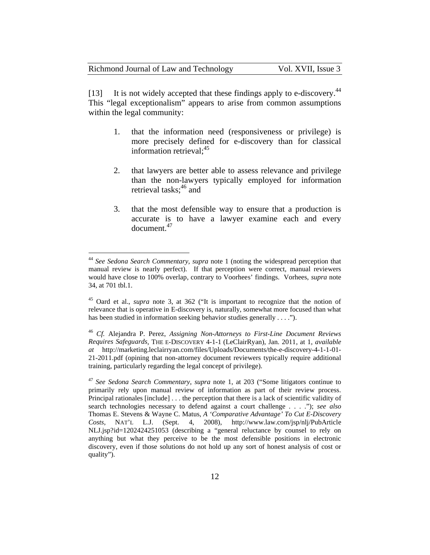| Richmond Journal of Law and Technology |  | Vol. XVII, Issue 3 |
|----------------------------------------|--|--------------------|
|----------------------------------------|--|--------------------|

[13] It is not widely accepted that these findings apply to e-discovery.<sup>44</sup> This "legal exceptionalism" appears to arise from common assumptions within the legal community:

- 1. that the information need (responsiveness or privilege) is more precisely defined for e-discovery than for classical information retrieval:<sup>45</sup>
- 2. that lawyers are better able to assess relevance and privilege than the non-lawyers typically employed for information retrieval tasks:<sup>46</sup> and
- 3. that the most defensible way to ensure that a production is accurate is to have a lawyer examine each and every document.47

<sup>44</sup> *See Sedona Search Commentary, supra* note 1 (noting the widespread perception that manual review is nearly perfect). If that perception were correct, manual reviewers would have close to 100% overlap, contrary to Voorhees' findings. Vorhees, *supra* note 34, at 701 tbl.1.

<sup>45</sup> Oard et al., *supra* note 3, at 362 ("It is important to recognize that the notion of relevance that is operative in E-discovery is, naturally, somewhat more focused than what has been studied in information seeking behavior studies generally . . . .").

<sup>46</sup> *Cf.* Alejandra P. Perez, *Assigning Non-Attorneys to First-Line Document Reviews Requires Safeguards*, THE E-DISCOVERY 4-1-1 (LeClairRyan), Jan. 2011, at 1, *available at* http://marketing.leclairryan.com/files/Uploads/Documents/the-e-discovery-4-1-1-01- 21-2011.pdf (opining that non-attorney document reviewers typically require additional training, particularly regarding the legal concept of privilege).

<sup>47</sup> *See Sedona Search Commentary*, *supra* note 1, at 203 ("Some litigators continue to primarily rely upon manual review of information as part of their review process. Principal rationales [include] . . . the perception that there is a lack of scientific validity of search technologies necessary to defend against a court challenge . . . ."); *see also*  Thomas E. Stevens & Wayne C. Matus, *A 'Comparative Advantage' To Cut E-Discovery Costs,* NAT'L L.J. (Sept. 4, 2008), http://www.law.com/jsp/nlj/PubArticle NLJ.jsp?id=1202424251053 (describing a "general reluctance by counsel to rely on anything but what they perceive to be the most defensible positions in electronic discovery, even if those solutions do not hold up any sort of honest analysis of cost or quality").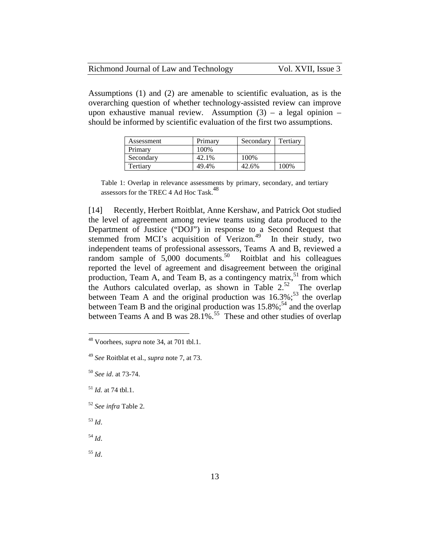| Richmond Journal of Law and Technology | Vol. XVII, Issue 3 |
|----------------------------------------|--------------------|
|----------------------------------------|--------------------|

Assumptions (1) and (2) are amenable to scientific evaluation, as is the overarching question of whether technology-assisted review can improve upon exhaustive manual review. Assumption  $(3)$  – a legal opinion – should be informed by scientific evaluation of the first two assumptions.

| Assessment | Primary | Secondary | Tertiary |
|------------|---------|-----------|----------|
| Primary    | 100%    |           |          |
| Secondary  | 42.1%   | 100%      |          |
| Tertiarv   | 49.4%   | 42.6%     | 100%     |

Table 1: Overlap in relevance assessments by primary, secondary, and tertiary assessors for the TREC 4 Ad Hoc Task.<sup>48</sup>

[14] Recently, Herbert Roitblat, Anne Kershaw, and Patrick Oot studied the level of agreement among review teams using data produced to the Department of Justice ("DOJ") in response to a Second Request that stemmed from MCI's acquisition of Verizon.<sup>49</sup> In their study, two independent teams of professional assessors, Teams A and B, reviewed a random sample of  $5,000$  documents.<sup>50</sup> Roitblat and his colleagues reported the level of agreement and disagreement between the original production, Team A, and Team B, as a contingency matrix,<sup>51</sup> from which the Authors calculated overlap, as shown in Table  $2.52$  The overlap between Team A and the original production was  $16.3\%$ ;<sup>53</sup> the overlap between Team B and the original production was  $15.8\%$ ;<sup>54</sup> and the overlap between Teams A and B was  $28.1\%$ .<sup>55</sup> These and other studies of overlap

<sup>52</sup> *See infra* Table 2.

<sup>53</sup> *Id*.

 $\overline{a}$ 

<sup>54</sup> *Id*.

<sup>55</sup> *Id*.

<sup>48</sup> Voorhees, *supra* note 34, at 701 tbl.1.

<sup>49</sup> *See* Roitblat et al., *supra* note 7, at 73.

<sup>50</sup> *See id*. at 73-74.

<sup>51</sup> *Id.* at 74 tbl.1.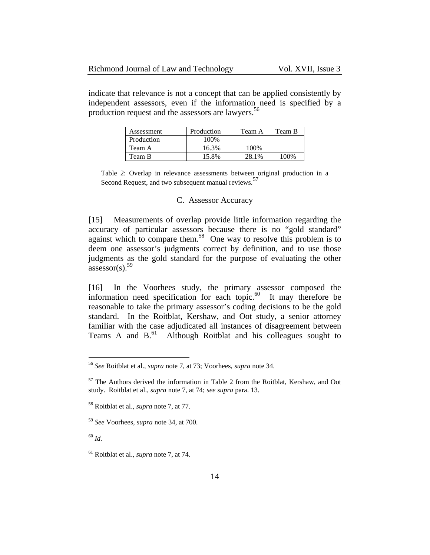| Richmond Journal of Law and Technology | Vol. XVII, Issue 3 |
|----------------------------------------|--------------------|
|----------------------------------------|--------------------|

indicate that relevance is not a concept that can be applied consistently by independent assessors, even if the information need is specified by a production request and the assessors are lawyers.<sup>56</sup>

| Assessment | Production | Team A | Team B |
|------------|------------|--------|--------|
| Production | 100%       |        |        |
| Team A     | 16.3%      | 100%   |        |
| Team B     | 15.8%      | 28.1%  | 100%   |

Table 2: Overlap in relevance assessments between original production in a Second Request, and two subsequent manual reviews.<sup>57</sup>

#### C. Assessor Accuracy

[15] Measurements of overlap provide little information regarding the accuracy of particular assessors because there is no "gold standard" against which to compare them.<sup>58</sup> One way to resolve this problem is to deem one assessor's judgments correct by definition, and to use those judgments as the gold standard for the purpose of evaluating the other assessor(s). $59$ 

[16] In the Voorhees study, the primary assessor composed the information need specification for each topic. $60$  It may therefore be reasonable to take the primary assessor's coding decisions to be the gold standard. In the Roitblat, Kershaw, and Oot study, a senior attorney familiar with the case adjudicated all instances of disagreement between Teams A and  $B$ .<sup>61</sup> Although Roitblat and his colleagues sought to

<sup>56</sup> *See* Roitblat et al., *supra* note 7, at 73; Voorhees, *supra* note 34.

<sup>&</sup>lt;sup>57</sup> The Authors derived the information in Table 2 from the Roitblat, Kershaw, and Oot study. Roitblat et al., *supra* note 7, at 74; *see supra* para. 13.

<sup>58</sup> Roitblat et al., *supra* note 7, at 77.

<sup>59</sup> *See* Voorhees, *supra* note 34, at 700.

<sup>60</sup> *Id.*

<sup>61</sup> Roitblat et al., *supra* note 7, at 74.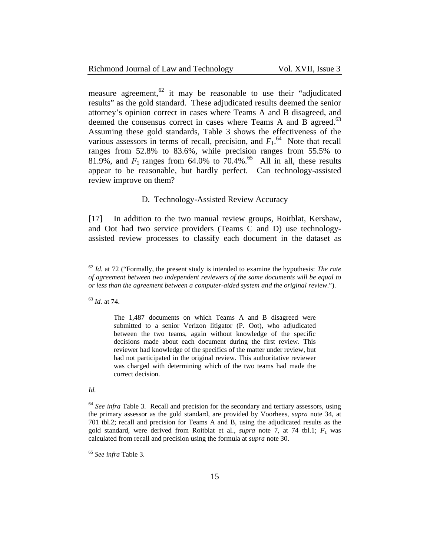measure agreement,  $62$  it may be reasonable to use their "adjudicated" results" as the gold standard. These adjudicated results deemed the senior attorney's opinion correct in cases where Teams A and B disagreed, and deemed the consensus correct in cases where Teams A and B agreed.<sup>63</sup> Assuming these gold standards, Table 3 shows the effectiveness of the various assessors in terms of recall, precision, and  $F_1$ .<sup>64</sup> Note that recall ranges from 52.8% to 83.6%, while precision ranges from 55.5% to 81.9%, and  $F_1$  ranges from 64.0% to 70.4%.<sup>65</sup> All in all, these results appear to be reasonable, but hardly perfect. Can technology-assisted review improve on them?

#### D. Technology-Assisted Review Accuracy

[17] In addition to the two manual review groups, Roitblat, Kershaw, and Oot had two service providers (Teams C and D) use technologyassisted review processes to classify each document in the dataset as

<sup>63</sup> *Id.* at 74.

 $\overline{a}$ 

The 1,487 documents on which Teams A and B disagreed were submitted to a senior Verizon litigator (P. Oot), who adjudicated between the two teams, again without knowledge of the specific decisions made about each document during the first review. This reviewer had knowledge of the specifics of the matter under review, but had not participated in the original review. This authoritative reviewer was charged with determining which of the two teams had made the correct decision.

*Id.* 

<sup>64</sup> *See infra* Table 3. Recall and precision for the secondary and tertiary assessors, using the primary assessor as the gold standard, are provided by Voorhees, *supra* note 34, at 701 tbl.2; recall and precision for Teams A and B, using the adjudicated results as the gold standard, were derived from Roitblat et al., *supra* note 7, at 74 tbl.1;  $F_1$  was calculated from recall and precision using the formula at *supra* note 30.

<sup>65</sup> *See infra* Table 3.

<sup>62</sup> *Id.* at 72 ("Formally, the present study is intended to examine the hypothesis: *The rate of agreement between two independent reviewers of the same documents will be equal to or less than the agreement between a computer-aided system and the original review*.").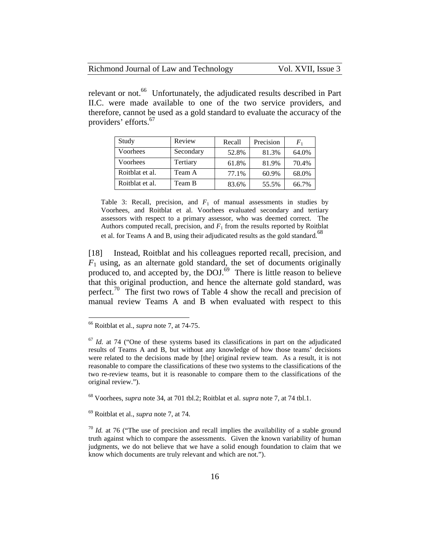| Richmond Journal of Law and Technology | Vol. XVII, Issue 3 |
|----------------------------------------|--------------------|
|----------------------------------------|--------------------|

relevant or not.<sup>66</sup> Unfortunately, the adjudicated results described in Part II.C. were made available to one of the two service providers, and therefore, cannot be used as a gold standard to evaluate the accuracy of the providers' efforts.<sup>67</sup>

| Study           | Review    | Recall | Precision | $F_{1}$ |
|-----------------|-----------|--------|-----------|---------|
| Voorhees        | Secondary | 52.8%  | 81.3%     | 64.0%   |
| Voorhees        | Tertiary  | 61.8%  | 81.9%     | 70.4%   |
| Roitblat et al. | Team A    | 77.1%  | 60.9%     | 68.0%   |
| Roitblat et al. | Team B    | 83.6%  | 55.5%     | 66.7%   |

Table 3: Recall, precision, and  $F_1$  of manual assessments in studies by Voorhees, and Roitblat et al. Voorhees evaluated secondary and tertiary assessors with respect to a primary assessor, who was deemed correct. The Authors computed recall, precision, and  $F_1$  from the results reported by Roitblat et al. for Teams A and B, using their adjudicated results as the gold standard.<sup>68</sup>

[18] Instead, Roitblat and his colleagues reported recall, precision, and  $F_1$  using, as an alternate gold standard, the set of documents originally produced to, and accepted by, the DOJ.<sup>69</sup> There is little reason to believe that this original production, and hence the alternate gold standard, was perfect.<sup>70</sup> The first two rows of Table 4 show the recall and precision of manual review Teams A and B when evaluated with respect to this

 $\overline{a}$ 

<sup>69</sup> Roitblat et al., *supra* note 7, at 74.

<sup>66</sup> Roitblat et al., *supra* note 7, at 74-75.

 $67$  *Id.* at 74 ("One of these systems based its classifications in part on the adjudicated results of Teams A and B, but without any knowledge of how those teams' decisions were related to the decisions made by [the] original review team. As a result, it is not reasonable to compare the classifications of these two systems to the classifications of the two re-review teams, but it is reasonable to compare them to the classifications of the original review.").

<sup>68</sup> Voorhees, *supra* note 34, at 701 tbl.2; Roitblat et al. *supra* note 7, at 74 tbl.1.

 $10<sup>70</sup>$  *Id.* at 76 ("The use of precision and recall implies the availability of a stable ground truth against which to compare the assessments. Given the known variability of human judgments, we do not believe that we have a solid enough foundation to claim that we know which documents are truly relevant and which are not.").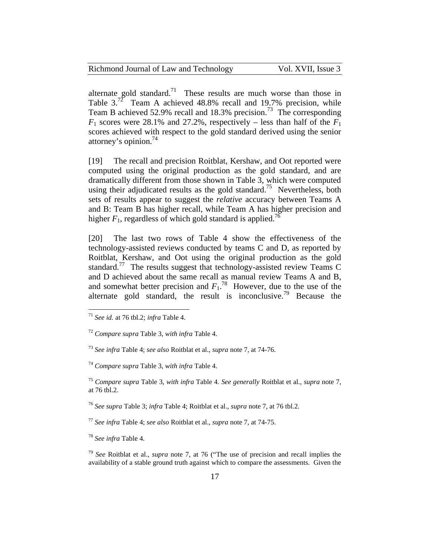| Richmond Journal of Law and Technology | Vol. |  |
|----------------------------------------|------|--|
|----------------------------------------|------|--|

Richmond Journal of Avisto 3.

alternate gold standard.<sup>71</sup> These results are much worse than those in Table  $3.^{72}$  Team A achieved 48.8% recall and 19.7% precision, while Team B achieved 52.9% recall and 18.3% precision.<sup>73</sup> The corresponding  $F_1$  scores were 28.1% and 27.2%, respectively – less than half of the  $F_1$ scores achieved with respect to the gold standard derived using the senior attorney's opinion. $^{74}$ 

[19] The recall and precision Roitblat, Kershaw, and Oot reported were computed using the original production as the gold standard, and are dramatically different from those shown in Table 3, which were computed using their adjudicated results as the gold standard.<sup>75</sup> Nevertheless, both sets of results appear to suggest the *relative* accuracy between Teams A and B: Team B has higher recall, while Team A has higher precision and higher  $F_1$ , regardless of which gold standard is applied.<sup>76</sup>

[20] The last two rows of Table 4 show the effectiveness of the technology-assisted reviews conducted by teams C and D, as reported by Roitblat, Kershaw, and Oot using the original production as the gold standard.77 The results suggest that technology-assisted review Teams C and D achieved about the same recall as manual review Teams A and B, and somewhat better precision and  $F_1$ .<sup>78</sup> However, due to the use of the alternate gold standard, the result is inconclusive.<sup>79</sup> Because the

<sup>71</sup> *See id.* at 76 tbl.2; *infra* Table 4.

<sup>72</sup> *Compare supra* Table 3, *with infra* Table 4.

<sup>73</sup> *See infra* Table 4; *see also* Roitblat et al., *supra* note 7, at 74-76.

<sup>74</sup> *Compare supra* Table 3, *with infra* Table 4.

<sup>75</sup> *Compare supra* Table 3, *with infra* Table 4. *See generally* Roitblat et al., *supra* note 7, at 76 tbl.2.

<sup>76</sup> *See supra* Table 3; *infra* Table 4; Roitblat et al., *supra* note 7, at 76 tbl.2.

<sup>77</sup> *See infra* Table 4; *see also* Roitblat et al., *supra* note 7, at 74-75.

<sup>78</sup> *See infra* Table 4.

<sup>79</sup> *See* Roitblat et al., *supra* note 7, at 76 ("The use of precision and recall implies the availability of a stable ground truth against which to compare the assessments. Given the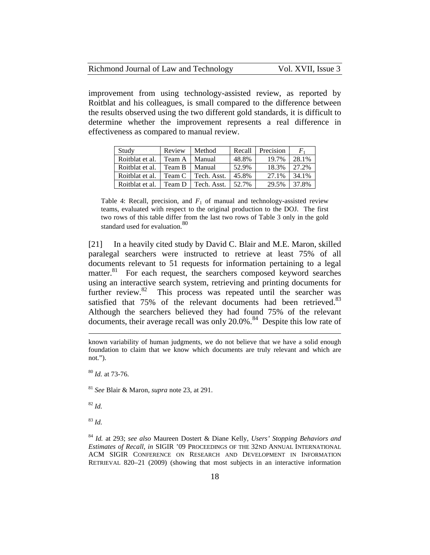| Richmond Journal of Law and Technology | Vol. XVII, Issue 3 |
|----------------------------------------|--------------------|
|----------------------------------------|--------------------|

improvement from using technology-assisted review, as reported by Roitblat and his colleagues, is small compared to the difference between the results observed using the two different gold standards, it is difficult to determine whether the improvement represents a real difference in effectiveness as compared to manual review.

| Study           | Review | Method      | Recall | Precision | $\mathit{F}_1$ |
|-----------------|--------|-------------|--------|-----------|----------------|
| Roitblat et al. | Team A | Manual      | 48.8%  | 19.7%     | 28.1%          |
| Roitblat et al. | Team B | Manual      | 52.9%  | 18.3%     | 27.2%          |
| Roitblat et al. | Team C | Tech. Asst. | 45.8%  | 27.1%     | 34.1%          |
| Roitblat et al. | Team D | Tech. Asst. | 52.7%  | 29.5%     | 37.8%          |

Table 4: Recall, precision, and  $F_1$  of manual and technology-assisted review teams, evaluated with respect to the original production to the DOJ. The first two rows of this table differ from the last two rows of Table 3 only in the gold standard used for evaluation.<sup>80</sup>

[21] In a heavily cited study by David C. Blair and M.E. Maron, skilled paralegal searchers were instructed to retrieve at least 75% of all documents relevant to 51 requests for information pertaining to a legal matter.<sup>81</sup> For each request, the searchers composed keyword searches using an interactive search system, retrieving and printing documents for further review.<sup>82</sup> This process was repeated until the searcher was satisfied that  $75\%$  of the relevant documents had been retrieved.<sup>83</sup> Although the searchers believed they had found 75% of the relevant documents, their average recall was only  $20.0\%$ .<sup>84</sup> Despite this low rate of

known variability of human judgments, we do not believe that we have a solid enough foundation to claim that we know which documents are truly relevant and which are not.").

<sup>80</sup> *Id.* at 73-76.

<sup>81</sup> *See* Blair & Maron, *supra* note 23, at 291.

<sup>82</sup> *Id.* 

 $\overline{a}$ 

<sup>83</sup> *Id.*

<sup>84</sup> *Id.* at 293; *see also* Maureen Dostert & Diane Kelly, *Users' Stopping Behaviors and Estimates of Recall*, *in* SIGIR '09 PROCEEDINGS OF THE 32ND ANNUAL INTERNATIONAL ACM SIGIR CONFERENCE ON RESEARCH AND DEVELOPMENT IN INFORMATION RETRIEVAL 820–21 (2009) (showing that most subjects in an interactive information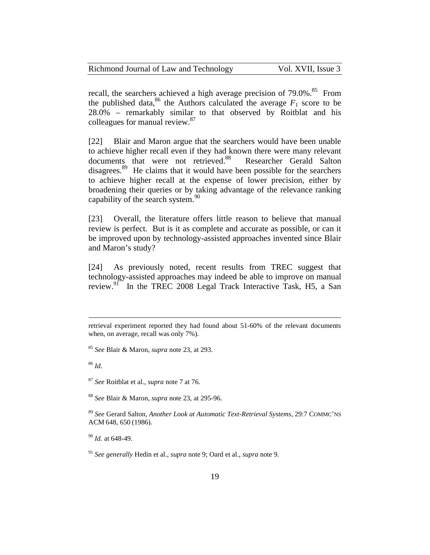| Richmond Journal of Law and Technology | Vol. XVII, Issue 3 |
|----------------------------------------|--------------------|
|----------------------------------------|--------------------|

recall, the searchers achieved a high average precision of 79.0%.<sup>85</sup> From the published data,<sup>86</sup> the Authors calculated the average  $F_1$  score to be 28.0% – remarkably similar to that observed by Roitblat and his colleagues for manual review.<sup>87</sup>

[22] Blair and Maron argue that the searchers would have been unable to achieve higher recall even if they had known there were many relevant documents that were not retrieved.<sup>88</sup> Researcher Gerald Salton disagrees.<sup>89</sup> He claims that it would have been possible for the searchers to achieve higher recall at the expense of lower precision, either by broadening their queries or by taking advantage of the relevance ranking capability of the search system. $^{90}$ 

[23] Overall, the literature offers little reason to believe that manual review is perfect. But is it as complete and accurate as possible, or can it be improved upon by technology-assisted approaches invented since Blair and Maron's study?

[24] As previously noted, recent results from TREC suggest that technology-assisted approaches may indeed be able to improve on manual review.<sup>91</sup> In the TREC 2008 Legal Track Interactive Task, H5, a San

retrieval experiment reported they had found about 51-60% of the relevant documents when, on average, recall was only 7%).

<sup>85</sup> *See* Blair & Maron, *supra* note 23, at 293.

<sup>86</sup> *Id*.

<sup>87</sup> *See* Roitblat et al., *supra* note 7 at 76.

<sup>88</sup> *See* Blair & Maron, *supra* note 23, at 295-96.

<sup>89</sup> *See* Gerard Salton, *Another Look at Automatic Text-Retrieval Systems*, 29:7 COMMC'NS ACM 648, 650 (1986).

<sup>90</sup> *Id.* at 648-49.

<sup>91</sup> *See generally* Hedin et al., *supra* note 9; Oard et al., *supra* note 9.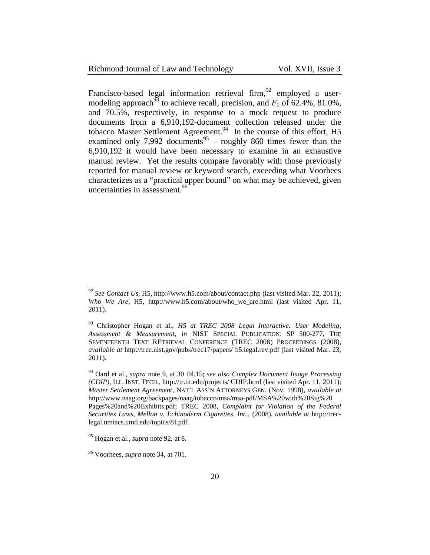| Richmond Journal of Law and Technology |  |  |  |  |
|----------------------------------------|--|--|--|--|
|----------------------------------------|--|--|--|--|

Francisco-based legal information retrieval firm,  $^{92}$  employed a usermodeling approach<sup>93</sup> to achieve recall, precision, and  $F_1$  of 62.4%, 81.0%, and 70.5%, respectively, in response to a mock request to produce documents from a 6,910,192-document collection released under the tobacco Master Settlement Agreement.<sup>94</sup> In the course of this effort, H5 examined only 7,992 documents<sup>95</sup> – roughly 860 times fewer than the 6,910,192 it would have been necessary to examine in an exhaustive manual review. Yet the results compare favorably with those previously reported for manual review or keyword search, exceeding what Voorhees characterizes as a "practical upper bound" on what may be achieved, given uncertainties in assessment. $^{96}$ 

<sup>92</sup> *See Contact Us,* H5, http://www.h5.com/about/contact.php (last visited Mar. 22, 2011); *Who We Are*, H5, http://www.h5.com/about/who we are.html (last visited Apr. 11, 2011).

<sup>93</sup> Christopher Hogan et al., *H5 at TREC 2008 Legal Interactive: User Modeling, Assessment & Measurement, in* NIST SPECIAL PUBLICATION: SP 500-277, THE SEVENTEENTH TEXT RETRIEVAL CONFERENCE (TREC 2008) PROCEEDINGS (2008), *available at* http://trec.nist.gov/pubs/trec17/papers/ h5.legal.rev.pdf (last visited Mar. 23, 2011).

<sup>94</sup> Oard et al., *supra* note 9, at 30 tbl.15; *see also Complex Document Image Processing (CDIP)*, ILL. INST. TECH., http://ir.iit.edu/projects/ CDIP.html (last visited Apr. 11, 2011); *Master Settlement Agreement*, NAT'L ASS'N ATTORNEYS GEN. (Nov. 1998), *available at*  http://www.naag.org/backpages/naag/tobacco/msa/msa-pdf/MSA%20with%20Sig%20 Pages%20and%20Exhibits.pdf; TREC 2008, *Complaint for Violation of the Federal Securities Laws, Mellon v. Echinoderm Cigarettes, Inc.,* (2008), *available at* http://treclegal.umiacs.umd.edu/topics/8I.pdf.

<sup>95</sup> Hogan et al., *supra* note 92, at 8.

<sup>96</sup> Voorhees, *supra* note 34, at 701.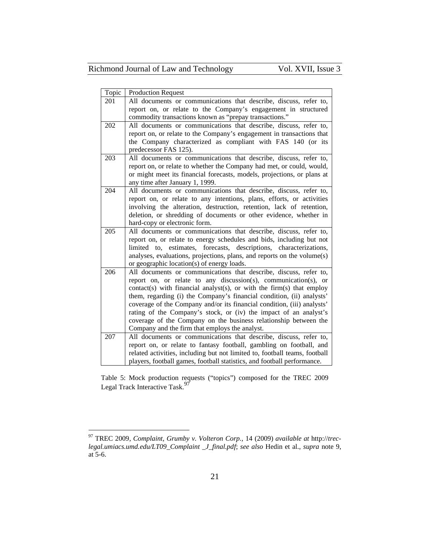| Topic | <b>Production Request</b>                                                                                                                                                                                                                                                                                                                                                                                                                                                                                                                                    |
|-------|--------------------------------------------------------------------------------------------------------------------------------------------------------------------------------------------------------------------------------------------------------------------------------------------------------------------------------------------------------------------------------------------------------------------------------------------------------------------------------------------------------------------------------------------------------------|
| 201   | All documents or communications that describe, discuss, refer to,<br>report on, or relate to the Company's engagement in structured<br>commodity transactions known as "prepay transactions."                                                                                                                                                                                                                                                                                                                                                                |
| 202   | All documents or communications that describe, discuss, refer to,<br>report on, or relate to the Company's engagement in transactions that<br>the Company characterized as compliant with FAS 140 (or its<br>predecessor FAS 125).                                                                                                                                                                                                                                                                                                                           |
| 203   | All documents or communications that describe, discuss, refer to,<br>report on, or relate to whether the Company had met, or could, would,<br>or might meet its financial forecasts, models, projections, or plans at<br>any time after January 1, 1999.                                                                                                                                                                                                                                                                                                     |
| 204   | All documents or communications that describe, discuss, refer to,<br>report on, or relate to any intentions, plans, efforts, or activities<br>involving the alteration, destruction, retention, lack of retention,<br>deletion, or shredding of documents or other evidence, whether in<br>hard-copy or electronic form.                                                                                                                                                                                                                                     |
| 205   | All documents or communications that describe, discuss, refer to,<br>report on, or relate to energy schedules and bids, including but not<br>limited to, estimates, forecasts, descriptions, characterizations,<br>analyses, evaluations, projections, plans, and reports on the volume(s)<br>or geographic location(s) of energy loads.                                                                                                                                                                                                                     |
| 206   | All documents or communications that describe, discuss, refer to,<br>report on, or relate to any discussion(s), communication(s), or<br>contact(s) with financial analyst(s), or with the firm(s) that employ<br>them, regarding (i) the Company's financial condition, (ii) analysts'<br>coverage of the Company and/or its financial condition, (iii) analysts'<br>rating of the Company's stock, or (iv) the impact of an analyst's<br>coverage of the Company on the business relationship between the<br>Company and the firm that employs the analyst. |
| 207   | All documents or communications that describe, discuss, refer to,<br>report on, or relate to fantasy football, gambling on football, and<br>related activities, including but not limited to, football teams, football<br>players, football games, football statistics, and football performance.                                                                                                                                                                                                                                                            |

Table 5: Mock production requests ("topics") composed for the TREC 2009 Legal Track Interactive Task.<sup>97</sup>

<sup>97</sup> TREC 2009, *Complaint, Grumby v. Volteron Corp.,* 14 (2009) *available at* http://*treclegal.umiacs.umd.edu/LT09\_Complaint \_J\_final.pdf*; *see also* Hedin et al., *supra* note 9, at 5-6.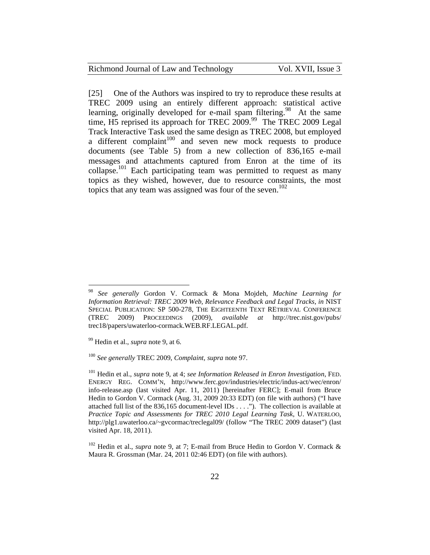[25] One of the Authors was inspired to try to reproduce these results at TREC 2009 using an entirely different approach: statistical active learning, originally developed for e-mail spam filtering.<sup>98</sup> At the same time, H5 reprised its approach for TREC 2009.<sup>99</sup> The TREC 2009 Legal Track Interactive Task used the same design as TREC 2008, but employed a different complaint $100$  and seven new mock requests to produce documents (see Table 5) from a new collection of 836,165 e-mail messages and attachments captured from Enron at the time of its collapse.<sup>101</sup> Each participating team was permitted to request as many topics as they wished, however, due to resource constraints, the most topics that any team was assigned was four of the seven.<sup>102</sup>

<sup>98</sup> *See generally* Gordon V. Cormack & Mona Mojdeh, *Machine Learning for Information Retrieval: TREC 2009 Web, Relevance Feedback and Legal Tracks*, *in* NIST SPECIAL PUBLICATION: SP 500-278, THE EIGHTEENTH TEXT RETRIEVAL CONFERENCE (TREC 2009) PROCEEDINGS (2009), *available at* http://trec.nist.gov/pubs/ trec18/papers/uwaterloo-cormack.WEB.RF.LEGAL.pdf.

<sup>99</sup> Hedin et al., *supra* note 9, at 6.

<sup>100</sup> *See generally* TREC 2009, *Complaint, supra* note 97.

<sup>101</sup> Hedin et al., *supra* note 9, at 4; *see Information Released in Enron Investigation*, FED. ENERGY REG. COMM'N, http://www.ferc.gov/industries/electric/indus-act/wec/enron/ info-release.asp (last visited Apr. 11, 2011) [hereinafter FERC]; E-mail from Bruce Hedin to Gordon V. Cormack (Aug. 31, 2009 20:33 EDT) (on file with authors) ("I have attached full list of the 836,165 document-level IDs . . . ."). The collection is available at *Practice Topic and Assessments for TREC 2010 Legal Learning Task*, U. WATERLOO, http://plg1.uwaterloo.ca/~gvcormac/treclegal09/ (follow "The TREC 2009 dataset") (last visited Apr. 18, 2011).

<sup>&</sup>lt;sup>102</sup> Hedin et al., *supra* note 9, at 7; E-mail from Bruce Hedin to Gordon V. Cormack & Maura R. Grossman (Mar. 24, 2011 02:46 EDT) (on file with authors).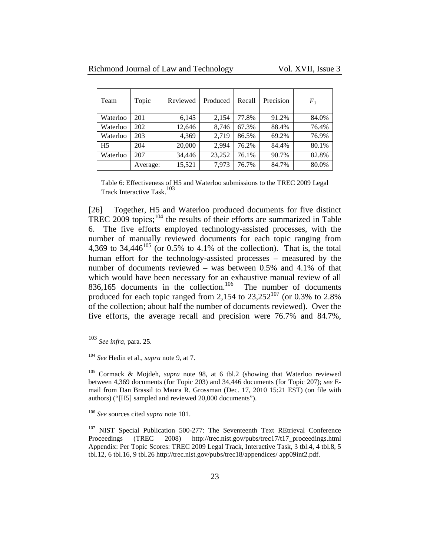| Team           | Topic    | Reviewed | Produced | Recall | Precision | $F_1$ |
|----------------|----------|----------|----------|--------|-----------|-------|
| Waterloo       | 201      | 6,145    | 2,154    | 77.8%  | 91.2%     | 84.0% |
| Waterloo       | 202      | 12,646   | 8,746    | 67.3%  | 88.4%     | 76.4% |
| Waterloo       | 203      | 4,369    | 2.719    | 86.5%  | 69.2%     | 76.9% |
| H <sub>5</sub> | 204      | 20,000   | 2.994    | 76.2%  | 84.4%     | 80.1% |
| Waterloo       | 207      | 34,446   | 23,252   | 76.1%  | 90.7%     | 82.8% |
|                | Average: | 15,521   | 7,973    | 76.7%  | 84.7%     | 80.0% |

Table 6: Effectiveness of H5 and Waterloo submissions to the TREC 2009 Legal Track Interactive Task.<sup>103</sup>

[26] Together, H5 and Waterloo produced documents for five distinct TREC 2009 topics;<sup>104</sup> the results of their efforts are summarized in Table 6. The five efforts employed technology-assisted processes, with the number of manually reviewed documents for each topic ranging from 4,369 to 34,446<sup>105</sup> (or 0.5% to 4.1% of the collection). That is, the total human effort for the technology-assisted processes – measured by the number of documents reviewed – was between 0.5% and 4.1% of that which would have been necessary for an exhaustive manual review of all 836,165 documents in the collection.<sup>106</sup> The number of documents produced for each topic ranged from 2,154 to  $23,252^{107}$  (or 0.3% to 2.8%) of the collection; about half the number of documents reviewed). Over the five efforts, the average recall and precision were 76.7% and 84.7%,

<sup>103</sup> *See infra*, para. 25.

<sup>104</sup> *See* Hedin et al., *supra* note 9, at 7.

<sup>105</sup> Cormack & Mojdeh, *supra* note 98, at 6 tbl.2 (showing that Waterloo reviewed between 4,369 documents (for Topic 203) and 34,446 documents (for Topic 207); *see* Email from Dan Brassil to Maura R. Grossman (Dec. 17, 2010 15:21 EST) (on file with authors) ("[H5] sampled and reviewed 20,000 documents").

<sup>106</sup> *See* sources cited *supra* note 101.

<sup>&</sup>lt;sup>107</sup> NIST Special Publication 500-277: The Seventeenth Text REtrieval Conference Proceedings (TREC 2008) http://trec.nist.gov/pubs/trec17/t17\_proceedings.html Appendix: Per Topic Scores: TREC 2009 Legal Track, Interactive Task, 3 tbl.4, 4 tbl.8, 5 tbl.12, 6 tbl.16, 9 tbl.26 http://trec.nist.gov/pubs/trec18/appendices/ app09int2.pdf.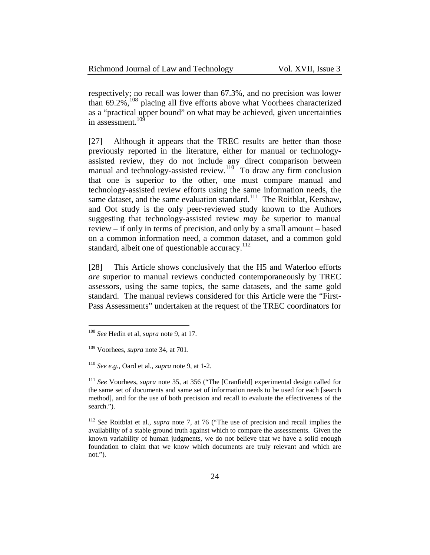| Richmond Journal of Law and Technology | Vol. XVII, Issue 3 |
|----------------------------------------|--------------------|
|----------------------------------------|--------------------|

respectively; no recall was lower than 67.3%, and no precision was lower than  $69.2\%$ ,  $^{108}$  placing all five efforts above what Voorhees characterized as a "practical upper bound" on what may be achieved, given uncertainties in assessment. $10\overline{9}$ 

[27] Although it appears that the TREC results are better than those previously reported in the literature, either for manual or technologyassisted review, they do not include any direct comparison between manual and technology-assisted review.<sup>110</sup> To draw any firm conclusion that one is superior to the other, one must compare manual and technology-assisted review efforts using the same information needs, the same dataset, and the same evaluation standard.<sup>111</sup> The Roitblat, Kershaw, and Oot study is the only peer-reviewed study known to the Authors suggesting that technology-assisted review *may be* superior to manual review – if only in terms of precision, and only by a small amount – based on a common information need, a common dataset, and a common gold standard, albeit one of questionable accuracy.<sup>112</sup>

[28] This Article shows conclusively that the H5 and Waterloo efforts *are* superior to manual reviews conducted contemporaneously by TREC assessors, using the same topics, the same datasets, and the same gold standard. The manual reviews considered for this Article were the "First-Pass Assessments" undertaken at the request of the TREC coordinators for

<sup>108</sup> *See* Hedin et al, *supra* note 9, at 17.

<sup>109</sup> Voorhees, *supra* note 34, at 701.

<sup>110</sup> *See e.g.*, Oard et al., *supra* note 9, at 1-2.

<sup>111</sup> *See* Voorhees, *supra* note 35, at 356 ("The [Cranfield] experimental design called for the same set of documents and same set of information needs to be used for each [search method], and for the use of both precision and recall to evaluate the effectiveness of the search.").

<sup>112</sup> *See* Roitblat et al., *supra* note 7, at 76 ("The use of precision and recall implies the availability of a stable ground truth against which to compare the assessments. Given the known variability of human judgments, we do not believe that we have a solid enough foundation to claim that we know which documents are truly relevant and which are not.").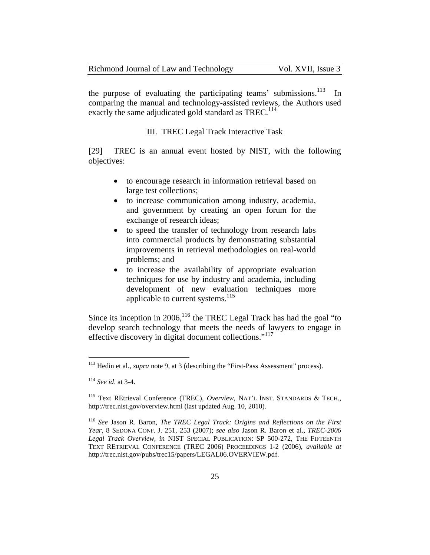| Richmond Journal of Law and Technology | Vol. XVII, Issue 3 |
|----------------------------------------|--------------------|
|----------------------------------------|--------------------|

the purpose of evaluating the participating teams' submissions.<sup>113</sup> In comparing the manual and technology-assisted reviews, the Authors used exactly the same adjudicated gold standard as TREC.<sup>114</sup>

III. TREC Legal Track Interactive Task

[29] TREC is an annual event hosted by NIST, with the following objectives:

- to encourage research in information retrieval based on large test collections;
- to increase communication among industry, academia, and government by creating an open forum for the exchange of research ideas;
- to speed the transfer of technology from research labs into commercial products by demonstrating substantial improvements in retrieval methodologies on real-world problems; and
- to increase the availability of appropriate evaluation techniques for use by industry and academia, including development of new evaluation techniques more applicable to current systems.<sup>115</sup>

Since its inception in 2006,  $^{116}$  the TREC Legal Track has had the goal "to" develop search technology that meets the needs of lawyers to engage in effective discovery in digital document collections."<sup>117</sup>

<sup>113</sup> Hedin et al., *supra* note 9, at 3 (describing the "First-Pass Assessment" process).

<sup>114</sup> *See id*. at 3-4.

<sup>115</sup> Text REtrieval Conference (TREC), *Overview*, NAT'L INST. STANDARDS & TECH., http://trec.nist.gov/overview.html (last updated Aug. 10, 2010).

<sup>116</sup> *See* Jason R. Baron, *The TREC Legal Track: Origins and Reflections on the First Year*, 8 SEDONA CONF. J. 251, 253 (2007); *see also* Jason R. Baron et al., *TREC-2006 Legal Track Overview*, *in* NIST SPECIAL PUBLICATION: SP 500-272, THE FIFTEENTH TEXT RETRIEVAL CONFERENCE (TREC 2006) PROCEEDINGS 1-2 (2006), *available at*  http://trec.nist.gov/pubs/trec15/papers/LEGAL06.OVERVIEW.pdf.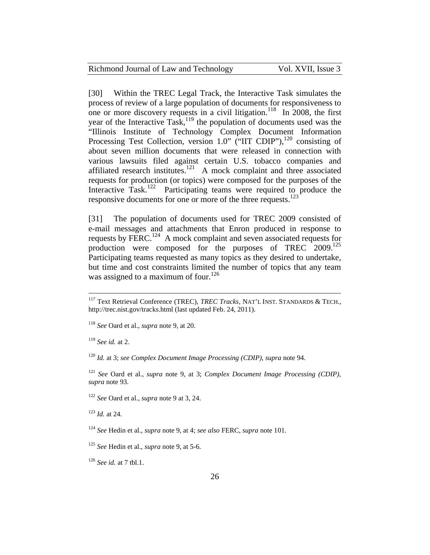| Richmond Journal of Law and Technology | Vol. XVII, Issue 3 |
|----------------------------------------|--------------------|
|----------------------------------------|--------------------|

[30] Within the TREC Legal Track, the Interactive Task simulates the process of review of a large population of documents for responsiveness to one or more discovery requests in a civil litigation.<sup>118</sup> In 2008, the first year of the Interactive Task, $119$  the population of documents used was the "Illinois Institute of Technology Complex Document Information Processing Test Collection, version 1.0" ("IIT CDIP"), $^{120}$  consisting of about seven million documents that were released in connection with various lawsuits filed against certain U.S. tobacco companies and affiliated research institutes.<sup>121</sup> A mock complaint and three associated requests for production (or topics) were composed for the purposes of the Interactive Task.<sup>122</sup> Participating teams were required to produce the responsive documents for one or more of the three requests.<sup>123</sup>

[31] The population of documents used for TREC 2009 consisted of e-mail messages and attachments that Enron produced in response to requests by FERC.<sup>124</sup> A mock complaint and seven associated requests for production were composed for the purposes of TREC 2009.<sup>125</sup> Participating teams requested as many topics as they desired to undertake, but time and cost constraints limited the number of topics that any team was assigned to a maximum of four.<sup>126</sup>

<sup>119</sup> *See id.* at 2.

 $\overline{a}$ 

<sup>120</sup> *Id.* at 3; *see Complex Document Image Processing (CDIP)*, *supra* note 94.

<sup>121</sup> *See* Oard et al., *supra* note 9, at 3; *Complex Document Image Processing (CDIP)*, *supra* note 93.

<sup>122</sup> *See* Oard et al., *supra* note 9 at 3, 24.

<sup>123</sup> *Id.* at 24.

<sup>124</sup> *See* Hedin et al., *supra* note 9, at 4; *see also* FERC, *supra* note 101.

<sup>126</sup> *See id.* at 7 tbl.1.

<sup>117</sup> Text Retrieval Conference (TREC), *TREC Tracks*, NAT'L INST. STANDARDS & TECH., http://trec.nist.gov/tracks.html (last updated Feb. 24, 2011).

<sup>118</sup> *See* Oard et al., *supra* note 9, at 20.

<sup>125</sup> *See* Hedin et al., *supra* note 9, at 5-6.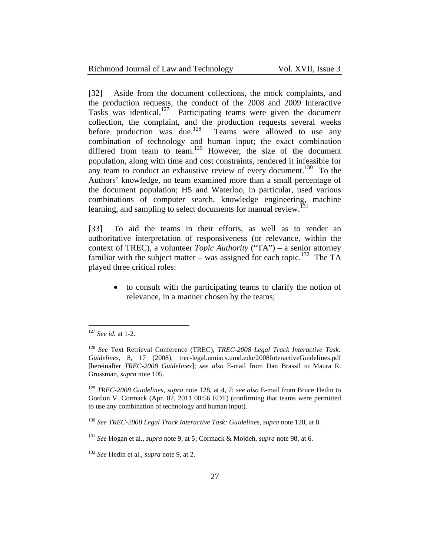| Vol. XVII, Issue 3<br>Richmond Journal of Law and Technology |  |  |
|--------------------------------------------------------------|--|--|
|--------------------------------------------------------------|--|--|

[32] Aside from the document collections, the mock complaints, and the production requests, the conduct of the 2008 and 2009 Interactive Tasks was identical.<sup>127</sup> Participating teams were given the document collection, the complaint, and the production requests several weeks before production was due.<sup>128</sup> Teams were allowed to use any combination of technology and human input; the exact combination differed from team to team.<sup>129</sup> However, the size of the document population, along with time and cost constraints, rendered it infeasible for any team to conduct an exhaustive review of every document.<sup>130</sup> To the Authors' knowledge, no team examined more than a small percentage of the document population; H5 and Waterloo, in particular, used various combinations of computer search, knowledge engineering, machine learning, and sampling to select documents for manual review.<sup>[31]</sup>

[33] To aid the teams in their efforts, as well as to render an authoritative interpretation of responsiveness (or relevance, within the context of TREC), a volunteer *Topic Authority* ("TA") – a senior attorney familiar with the subject matter – was assigned for each topic.<sup>132</sup> The TA played three critical roles:

 to consult with the participating teams to clarify the notion of relevance, in a manner chosen by the teams;

 $\overline{a}$ <sup>127</sup> *See id.* at 1-2.

<sup>128</sup> *See* Text Retrieval Conference (TREC), *TREC-2008 Legal Track Interactive Task: Guidelines*, 8, 17 (2008), trec-legal.umiacs.umd.edu/2008InteractiveGuidelines.pdf [hereinafter *TREC-2008 Guidelines*]; *see also* E-mail from Dan Brassil to Maura R. Grossman, *supra* note 105.

<sup>129</sup> *TREC-2008 Guidelines*, *supra* note 128, at 4, 7; *see also* E-mail from Bruce Hedin to Gordon V. Cormack (Apr. 07, 2011 00:56 EDT) (confirming that teams were permitted to use any combination of technology and human input).

<sup>130</sup> *See TREC-2008 Legal Track Interactive Task: Guidelines, supra* note 128, at 8.

<sup>131</sup> *See* Hogan et al., *supra* note 9, at 5; Cormack & Mojdeh, *supra* note 98, at 6.

<sup>132</sup> *See* Hedin et al., *supra* note 9, at 2.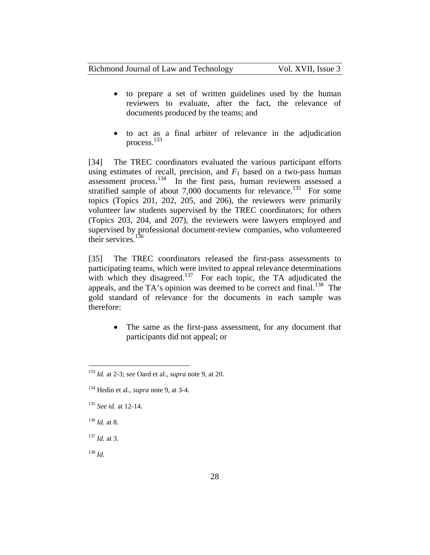- to prepare a set of written guidelines used by the human reviewers to evaluate, after the fact, the relevance of documents produced by the teams; and
- to act as a final arbiter of relevance in the adjudication process.<sup>133</sup>

[34] The TREC coordinators evaluated the various participant efforts using estimates of recall, precision, and  $F_1$  based on a two-pass human assessment process.134 In the first pass, human reviewers assessed a stratified sample of about 7,000 documents for relevance.<sup>135</sup> For some topics (Topics 201, 202, 205, and 206), the reviewers were primarily volunteer law students supervised by the TREC coordinators; for others (Topics 203, 204, and 207), the reviewers were lawyers employed and supervised by professional document-review companies, who volunteered their services. $136$ 

[35] The TREC coordinators released the first-pass assessments to participating teams, which were invited to appeal relevance determinations with which they disagreed.<sup>137</sup> For each topic, the TA adjudicated the appeals, and the TA's opinion was deemed to be correct and final.<sup>138</sup> The gold standard of relevance for the documents in each sample was therefore:

 The same as the first-pass assessment, for any document that participants did not appeal; or

<sup>137</sup> *Id.* at 3.

<sup>138</sup> *Id.*

<sup>133</sup> *Id.* at 2-3; *see* Oard et al., *supra* note 9, at 20.

<sup>134</sup> Hedin et al., *supra* note 9, at 3-4.

<sup>135</sup> *See id.* at 12-14.

 $^{136}$  *Id.* at 8.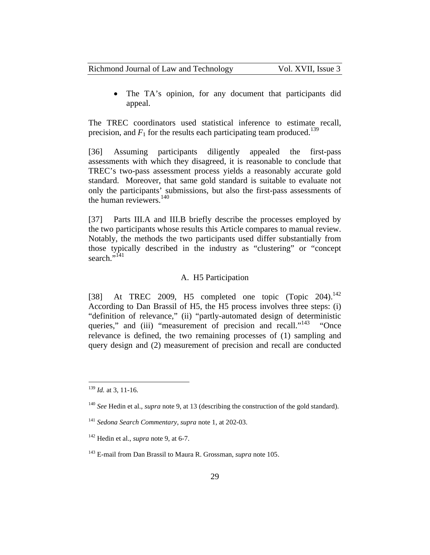The TA's opinion, for any document that participants did appeal.

The TREC coordinators used statistical inference to estimate recall, precision, and  $F_1$  for the results each participating team produced.<sup>139</sup>

[36] Assuming participants diligently appealed the first-pass assessments with which they disagreed, it is reasonable to conclude that TREC's two-pass assessment process yields a reasonably accurate gold standard. Moreover, that same gold standard is suitable to evaluate not only the participants' submissions, but also the first-pass assessments of the human reviewers. $140$ 

[37] Parts III.A and III.B briefly describe the processes employed by the two participants whose results this Article compares to manual review. Notably, the methods the two participants used differ substantially from those typically described in the industry as "clustering" or "concept search. $\cdot$ <sup>141</sup>

#### A. H5 Participation

[38] At TREC 2009, H5 completed one topic  $(Topic 204).$ <sup>142</sup> According to Dan Brassil of H5, the H5 process involves three steps: (i) "definition of relevance," (ii) "partly-automated design of deterministic queries," and (iii) "measurement of precision and recall."<sup>143</sup> "Once relevance is defined, the two remaining processes of (1) sampling and query design and (2) measurement of precision and recall are conducted

<sup>139</sup> *Id.* at 3, 11-16.

<sup>140</sup> *See* Hedin et al., *supra* note 9, at 13 (describing the construction of the gold standard).

<sup>141</sup> *Sedona Search Commentary*, *supra* note 1, at 202-03.

<sup>142</sup> Hedin et al., *supra* note 9, at 6-7.

<sup>143</sup> E-mail from Dan Brassil to Maura R. Grossman, *supra* note 105.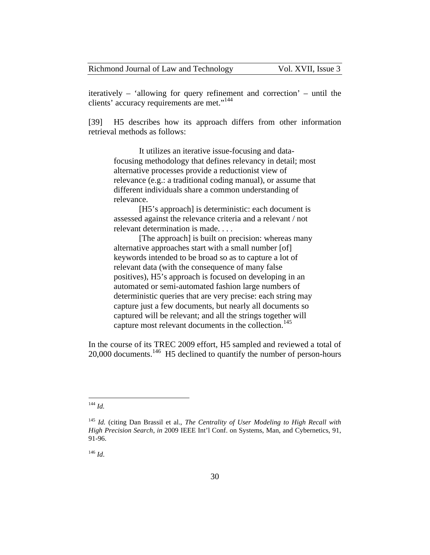iteratively – 'allowing for query refinement and correction' – until the clients' accuracy requirements are met."<sup>144</sup>

[39] H5 describes how its approach differs from other information retrieval methods as follows:

It utilizes an iterative issue-focusing and datafocusing methodology that defines relevancy in detail; most alternative processes provide a reductionist view of relevance (e.g.: a traditional coding manual), or assume that different individuals share a common understanding of relevance.

[H5's approach] is deterministic: each document is assessed against the relevance criteria and a relevant / not relevant determination is made. . . .

[The approach] is built on precision: whereas many alternative approaches start with a small number [of] keywords intended to be broad so as to capture a lot of relevant data (with the consequence of many false positives), H5's approach is focused on developing in an automated or semi-automated fashion large numbers of deterministic queries that are very precise: each string may capture just a few documents, but nearly all documents so captured will be relevant; and all the strings together will capture most relevant documents in the collection.<sup>145</sup>

In the course of its TREC 2009 effort, H5 sampled and reviewed a total of 20,000 documents.<sup>146</sup> H5 declined to quantify the number of person-hours

<sup>146</sup> *Id*.

 $\overline{a}$ <sup>144</sup> *Id.*

<sup>145</sup> *Id.* (citing Dan Brassil et al., *The Centrality of User Modeling to High Recall with High Precision Search*, *in* 2009 IEEE Int'l Conf. on Systems, Man, and Cybernetics, 91, 91-96.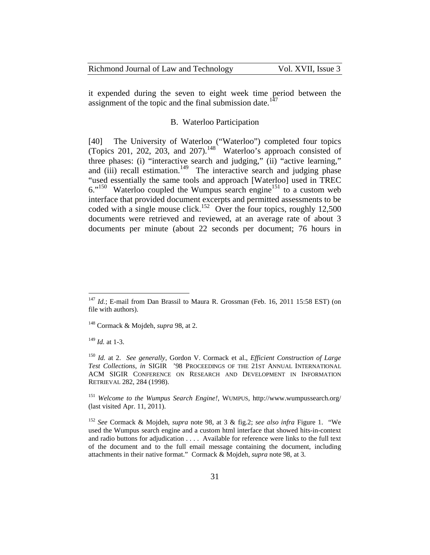| Richmond Journal of Law and Technology | Vol. XVII, Issue 3 |
|----------------------------------------|--------------------|
|----------------------------------------|--------------------|

it expended during the seven to eight week time period between the assignment of the topic and the final submission date.<sup>147</sup>

#### B. Waterloo Participation

[40] The University of Waterloo ("Waterloo") completed four topics (Topics 201, 202, 203, and 207). $148$  Waterloo's approach consisted of three phases: (i) "interactive search and judging," (ii) "active learning," and  $(iii)$  recall estimation.<sup>149</sup> The interactive search and judging phase "used essentially the same tools and approach [Waterloo] used in TREC  $6.^{150}$  Waterloo coupled the Wumpus search engine<sup>151</sup> to a custom web interface that provided document excerpts and permitted assessments to be coded with a single mouse click.<sup>152</sup> Over the four topics, roughly 12,500 documents were retrieved and reviewed, at an average rate of about 3 documents per minute (about 22 seconds per document; 76 hours in

<sup>149</sup> *Id.* at 1-3.

<sup>&</sup>lt;sup>147</sup> *Id.*; E-mail from Dan Brassil to Maura R. Grossman (Feb. 16, 2011 15:58 EST) (on file with authors).

<sup>148</sup> Cormack & Mojdeh, *supra* 98, at 2.

<sup>150</sup> *Id.* at 2. *See generally*, Gordon V. Cormack et al., *Efficient Construction of Large Test Collections*, *in* SIGIR '98 PROCEEDINGS OF THE 21ST ANNUAL INTERNATIONAL ACM SIGIR CONFERENCE ON RESEARCH AND DEVELOPMENT IN INFORMATION RETRIEVAL 282, 284 (1998).

<sup>151</sup> *Welcome to the Wumpus Search Engine!*, WUMPUS, http://www.wumpussearch.org/ (last visited Apr. 11, 2011).

<sup>152</sup> *See* Cormack & Mojdeh, *supra* note 98, at 3 & fig.2; *see also infra* Figure 1."We used the Wumpus search engine and a custom html interface that showed hits-in-context and radio buttons for adjudication . . . . Available for reference were links to the full text of the document and to the full email message containing the document, including attachments in their native format." Cormack & Mojdeh, *supra* note 98, at 3.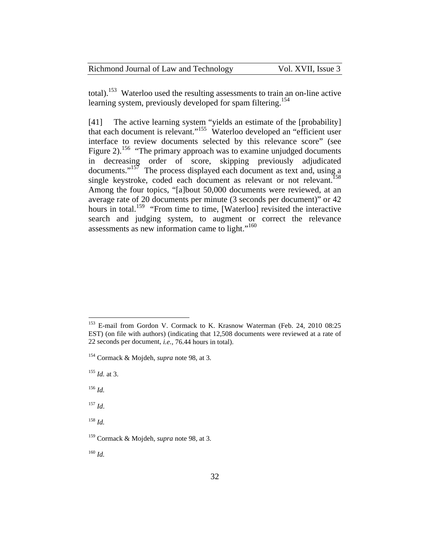| Richmond Journal of Law and Technology | Vol. XVII, Issue 3 |
|----------------------------------------|--------------------|
|----------------------------------------|--------------------|

total).153 Waterloo used the resulting assessments to train an on-line active learning system, previously developed for spam filtering.<sup>154</sup>

[41] The active learning system "yields an estimate of the [probability] that each document is relevant."<sup>155</sup> Waterloo developed an "efficient user interface to review documents selected by this relevance score" (see Figure 2).<sup>156</sup> "The primary approach was to examine unjudged documents in decreasing order of score, skipping previously adjudicated documents." $157$  The process displayed each document as text and, using a single keystroke, coded each document as relevant or not relevant.<sup>158</sup> Among the four topics, "[a]bout 50,000 documents were reviewed, at an average rate of 20 documents per minute (3 seconds per document)" or 42 hours in total.<sup>159</sup> "From time to time, [Waterloo] revisited the interactive search and judging system, to augment or correct the relevance assessments as new information came to light."<sup>160</sup>

 $\overline{a}$ 

<sup>157</sup> *Id*.

<sup>158</sup> *Id.*

<sup>160</sup> *Id.*

<sup>&</sup>lt;sup>153</sup> E-mail from Gordon V. Cormack to K. Krasnow Waterman (Feb. 24, 2010 08:25 EST) (on file with authors) (indicating that 12,508 documents were reviewed at a rate of 22 seconds per document, *i.e.,* 76.44 hours in total).

<sup>154</sup> Cormack & Mojdeh, *supra* note 98, at 3.

<sup>155</sup> *Id.* at 3.

<sup>156</sup> *Id.*

<sup>159</sup> Cormack & Mojdeh*, supra* note 98*,* at 3.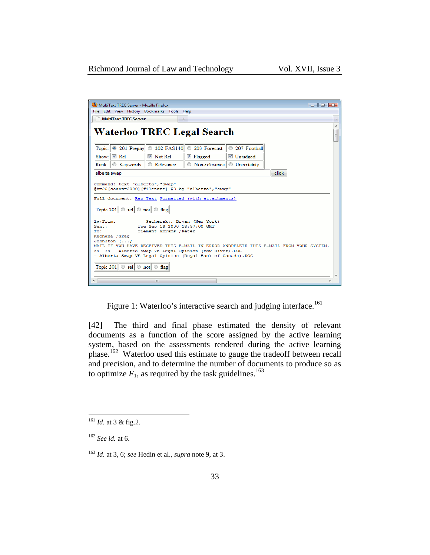| MultiText TREC Server - Mozilla Firefox                                                                                                                                                           | $      -$ |  |  |
|---------------------------------------------------------------------------------------------------------------------------------------------------------------------------------------------------|-----------|--|--|
| File Edit View History Bookmarks Tools Help                                                                                                                                                       |           |  |  |
| <b>MultiText TREC Server</b><br>et e                                                                                                                                                              |           |  |  |
| <b>Waterloo TREC Legal Search</b>                                                                                                                                                                 | ۸<br>L    |  |  |
| ◎ 201-Prepay   ◎ 202-FAS140   ◎ 203-Forecast<br>207-Football<br>Topic:                                                                                                                            |           |  |  |
| $\nabla$ Rel<br>$\triangledown$ Not Rel<br>Show:<br><b>▼</b> Flagged<br><b>V</b> Unjudged                                                                                                         |           |  |  |
| <b>Keywords</b><br><b>Relevance</b><br>◎ Non-relevance © Uncertainty<br>Rank:                                                                                                                     |           |  |  |
| click<br>alberta swap                                                                                                                                                                             |           |  |  |
| command: text "alberta", "swap"<br>@bm25fcount=3000][filename] \$D by "alberta", "swap"<br>Full document: Raw Text Formatted (with attachments)<br>Topic 201 $\circ$ rel $\circ$ not $\circ$ flag |           |  |  |
| i»¿From:<br>Pechersky, Bryan (New York)                                                                                                                                                           |           |  |  |
| Sent:<br>Tue Sep 19 2000 18:57:00 GMT                                                                                                                                                             |           |  |  |
| Clement Abrams : Peter<br>To:<br>Keohane : Greg                                                                                                                                                   |           |  |  |
| Johnston $[i, j]$                                                                                                                                                                                 |           |  |  |
| MAIL IF YOU HAVE RECEIVED THIS E-MAIL IN ERROR ANDDELETE THIS E-MAIL FROM YOUR SYSTEM.                                                                                                            |           |  |  |
| <> <> - Alberta Swap VE Legal Opinion (Bow River). DOC                                                                                                                                            |           |  |  |
| - Alberta Swap VE Legal Opinion (Royal Bank of Canada). DOC                                                                                                                                       |           |  |  |
| Topic 201 $\circ$ rel $\circ$ not $\circ$ flag                                                                                                                                                    |           |  |  |
| m                                                                                                                                                                                                 |           |  |  |

Figure 1: Waterloo's interactive search and judging interface.<sup>161</sup>

[42] The third and final phase estimated the density of relevant documents as a function of the score assigned by the active learning system, based on the assessments rendered during the active learning phase.<sup>162</sup> Waterloo used this estimate to gauge the tradeoff between recall and precision, and to determine the number of documents to produce so as to optimize  $F_1$ , as required by the task guidelines.<sup>163</sup>

<sup>161</sup> *Id.* at 3 & fig.2.

<sup>162</sup> *See id.* at 6.

<sup>163</sup> *Id.* at 3, 6; *see* Hedin et al., *supra* note 9, at 3.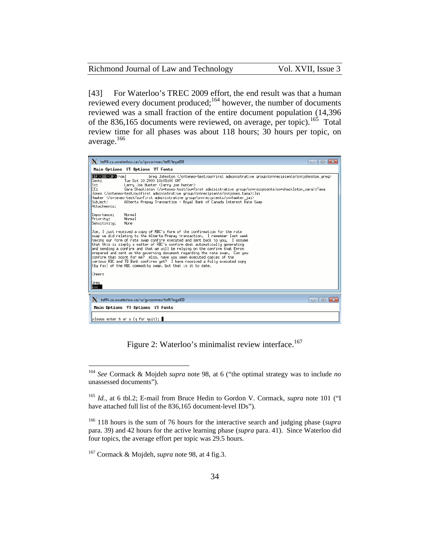| Richmond Journal of Law and Technology |  |  |  |
|----------------------------------------|--|--|--|
|----------------------------------------|--|--|--|

[43] For Waterloo's TREC 2009 effort, the end result was that a human reviewed every document produced;<sup>164</sup> however, the number of documents reviewed was a small fraction of the entire document population (14,396 of the 836,165 documents were reviewed, on average, per topic).<sup>165</sup> Total review time for all phases was about 118 hours; 30 hours per topic, on average.<sup>166</sup>

| teff4.cs.uwaterloo.ca:/u/gvcormac/teff/legal09                                                                                                                                                                                                                                                                                                                                                                                                                                                                                                                                                                                                                                                                  |                      |
|-----------------------------------------------------------------------------------------------------------------------------------------------------------------------------------------------------------------------------------------------------------------------------------------------------------------------------------------------------------------------------------------------------------------------------------------------------------------------------------------------------------------------------------------------------------------------------------------------------------------------------------------------------------------------------------------------------------------|----------------------|
| Main Options VT Options VT Fonts                                                                                                                                                                                                                                                                                                                                                                                                                                                                                                                                                                                                                                                                                |                      |
| <ef><bb><bf>From:<br/>Greg Johnston <br/>Tue Oct 10 2000 10:09:00 GMT<br/>Sent:<br/>Larry Joe Hunter Klarry joe hunter&gt;<br/>To:<br/>CC:<br/>Sara Shackleton ;Tana<br/>Jones ;Jai<br/> Hawker <br/>Alberta Prepay Transaction - Royal Bank of Canada Interest Rate Swap<br/>Sub.iect:<br/>Attachments:</bf></bb></ef>                                                                                                                                                                                                                                                                                                                                                                                         |                      |
| Normal<br>Importance:<br>Normal<br>Priority:<br>Sensitivity:<br>None                                                                                                                                                                                                                                                                                                                                                                                                                                                                                                                                                                                                                                            |                      |
| Joe, I just received a copy of RBC's form of the confirmation for the rate<br>swap we did relating to the Alberta Prepay transaction. I remember last week<br>having our form of rate swap confirm executed and sent back to you. I assume<br>that this is simply a matter of RBC's confirm desk automatically generating<br>and sending a confirm and that we will be relying on the confirm that Enron<br>prepared and sent as the governing document regarding the rate swap. Can you<br>confirm that point for me? Also, have you seen executed copies of the<br>various RBC and TD Bank confirms yet? I have received a fully executed copy<br>(by fax) of the RBC commodity swap, but that is it to date. |                      |
| Cheers                                                                                                                                                                                                                                                                                                                                                                                                                                                                                                                                                                                                                                                                                                          |                      |
| Greg<br>XX                                                                                                                                                                                                                                                                                                                                                                                                                                                                                                                                                                                                                                                                                                      |                      |
| teff4.cs.uwaterloo.ca:/u/gvcormac/teff/legal09                                                                                                                                                                                                                                                                                                                                                                                                                                                                                                                                                                                                                                                                  | $\Box$ $\Box$ $\Box$ |
| Main Options VT Options VT Fonts                                                                                                                                                                                                                                                                                                                                                                                                                                                                                                                                                                                                                                                                                |                      |
| please enter h or s (q for quit): ∎                                                                                                                                                                                                                                                                                                                                                                                                                                                                                                                                                                                                                                                                             |                      |

Figure 2: Waterloo's minimalist review interface.<sup>167</sup>

<sup>164</sup> *See* Cormack & Mojdeh *supra* note 98, at 6 ("the optimal strategy was to include *no* unassessed documents").

<sup>165</sup> *Id.*, at 6 tbl.2; E-mail from Bruce Hedin to Gordon V. Cormack, *supra* note 101 ("I have attached full list of the 836,165 document-level IDs").

<sup>166</sup> 118 hours is the sum of 76 hours for the interactive search and judging phase (*supra* para. 39) and 42 hours for the active learning phase (*supra* para. 41). Since Waterloo did four topics, the average effort per topic was 29.5 hours.

<sup>167</sup> Cormack & Mojdeh, *supra* note 98, at 4 fig.3.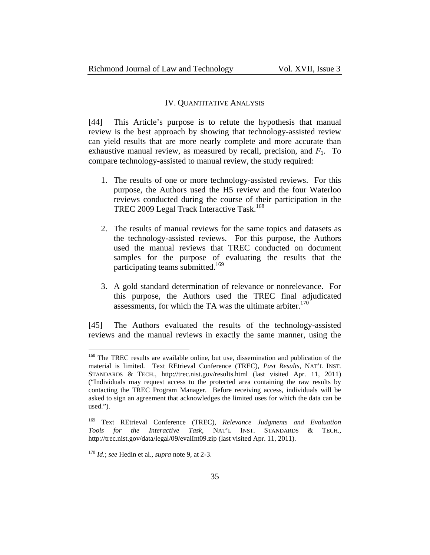#### IV. QUANTITATIVE ANALYSIS

[44] This Article's purpose is to refute the hypothesis that manual review is the best approach by showing that technology-assisted review can yield results that are more nearly complete and more accurate than exhaustive manual review, as measured by recall, precision, and  $F_1$ . To compare technology-assisted to manual review, the study required:

- 1. The results of one or more technology-assisted reviews. For this purpose, the Authors used the H5 review and the four Waterloo reviews conducted during the course of their participation in the TREC 2009 Legal Track Interactive Task.<sup>168</sup>
- 2. The results of manual reviews for the same topics and datasets as the technology-assisted reviews. For this purpose, the Authors used the manual reviews that TREC conducted on document samples for the purpose of evaluating the results that the participating teams submitted.<sup>169</sup>
- 3. A gold standard determination of relevance or nonrelevance. For this purpose, the Authors used the TREC final adjudicated assessments, for which the TA was the ultimate arbiter. $170$

[45] The Authors evaluated the results of the technology-assisted reviews and the manual reviews in exactly the same manner, using the

<sup>&</sup>lt;sup>168</sup> The TREC results are available online, but use, dissemination and publication of the material is limited. Text REtrieval Conference (TREC), *Past Results*, NAT'L INST. STANDARDS & TECH., http://trec.nist.gov/results.html (last visited Apr. 11, 2011) ("Individuals may request access to the protected area containing the raw results by contacting the TREC Program Manager. Before receiving access, individuals will be asked to sign an agreement that acknowledges the limited uses for which the data can be used.").

<sup>169</sup> Text REtrieval Conference (TREC), *Relevance Judgments and Evaluation Tools for the Interactive Task*, NAT'L INST. STANDARDS & TECH., http://trec.nist.gov/data/legal/09/evalInt09.zip (last visited Apr. 11, 2011).

<sup>170</sup> *Id.*; *see* Hedin et al., *supra* note 9, at 2-3.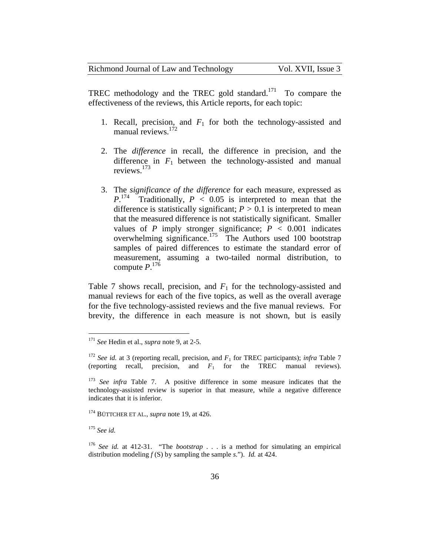| Richmond Journal of Law and Technology | Vol. XVII, Issue 3 |
|----------------------------------------|--------------------|
|----------------------------------------|--------------------|

TREC methodology and the TREC gold standard.<sup>171</sup> To compare the effectiveness of the reviews, this Article reports, for each topic:

- 1. Recall, precision, and  $F_1$  for both the technology-assisted and manual reviews.<sup>172</sup>
- 2. The *difference* in recall, the difference in precision, and the difference in  $F_1$  between the technology-assisted and manual reviews.173
- 3. The *significance of the difference* for each measure, expressed as  $P^{174}$  Traditionally,  $P \le 0.05$  is interpreted to mean that the difference is statistically significant;  $P > 0.1$  is interpreted to mean that the measured difference is not statistically significant. Smaller values of  $P$  imply stronger significance;  $P < 0.001$  indicates overwhelming significance.<sup>175</sup> The Authors used 100 bootstrap samples of paired differences to estimate the standard error of measurement, assuming a two-tailed normal distribution, to compute *P*. 176

Table 7 shows recall, precision, and  $F_1$  for the technology-assisted and manual reviews for each of the five topics, as well as the overall average for the five technology-assisted reviews and the five manual reviews. For brevity, the difference in each measure is not shown, but is easily

<sup>175</sup> *See id.*

<sup>171</sup> *See* Hedin et al., *supra* note 9, at 2-5.

<sup>&</sup>lt;sup>172</sup> *See id.* at 3 (reporting recall, precision, and  $F_1$  for TREC participants); *infra* Table 7 (reporting recall, precision, and  $F_1$  for the TREC manual reviews).

<sup>&</sup>lt;sup>173</sup> *See infra* Table 7. A positive difference in some measure indicates that the technology-assisted review is superior in that measure, while a negative difference indicates that it is inferior.

<sup>&</sup>lt;sup>174</sup> BÜTTCHER ET AL., *supra* note 19, at 426.

<sup>176</sup> *See id.* at 412-31. "The *bootstrap* . . . is a method for simulating an empirical distribution modeling  $f(S)$  by sampling the sample *s*."). *Id.* at 424.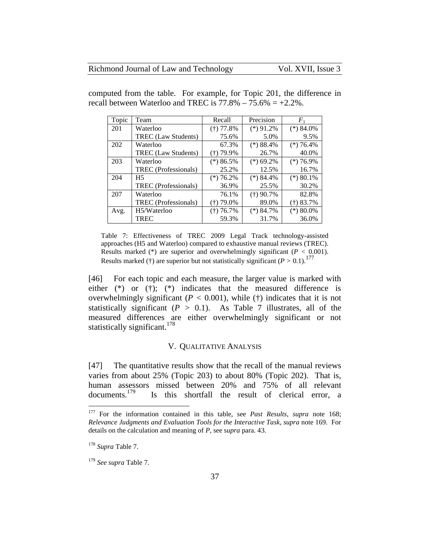| Topic | Team                        | Recall      | Precision    | $\mathcal{F}_1$ |
|-------|-----------------------------|-------------|--------------|-----------------|
| 201   | Waterloo                    | $(+)$ 77.8% | $(*)$ 91.2%  | $(*) 84.0\%$    |
|       | TREC (Law Students)         | 75.6%       | 5.0%         | 9.5%            |
| 202   | Waterloo                    | 67.3%       | $(*)88.4\%$  | $(*)76.4\%$     |
|       | <b>TREC</b> (Law Students)  | (†) 79.9%   | 26.7%        | 40.0%           |
| 203   | Waterloo                    | $(*)86.5\%$ | $(*)$ 69.2%  | $(*)76.9\%$     |
|       | TREC (Professionals)        | 25.2%       | 12.5%        | 16.7%           |
| 204   | H <sub>5</sub>              | $(*)76.2\%$ | $(*) 84.4%$  | $(*) 80.1\%$    |
|       | <b>TREC</b> (Professionals) | 36.9%       | 25.5%        | 30.2%           |
| 207   | Waterloo                    | 76.1%       | $(+)$ 90.7%  | 82.8%           |
|       | TREC (Professionals)        | (†) 79.0%   | 89.0%        | $(+)$ 83.7%     |
| Avg.  | H5/Waterloo                 | $(+) 76.7%$ | $(*) 84.7\%$ | $(*) 80.0\%$    |
|       | <b>TREC</b>                 | 59.3%       | 31.7%        | 36.0%           |

computed from the table. For example, for Topic 201, the difference in recall between Waterloo and TREC is  $77.8\% - 75.6\% = +2.2\%$ .

Table 7: Effectiveness of TREC 2009 Legal Track technology-assisted approaches (H5 and Waterloo) compared to exhaustive manual reviews (TREC). Results marked (\*) are superior and overwhelmingly significant (*P <* 0.001). Results marked (†) are superior but not statistically significant  $(P > 0.1)$ .<sup>177</sup>

[46] For each topic and each measure, the larger value is marked with either (\*) or (†); (\*) indicates that the measured difference is overwhelmingly significant  $(P < 0.001)$ , while  $(\dagger)$  indicates that it is not statistically significant  $(P > 0.1)$ . As Table 7 illustrates, all of the measured differences are either overwhelmingly significant or not statistically significant.<sup>178</sup>

#### V. QUALITATIVE ANALYSIS

[47] The quantitative results show that the recall of the manual reviews varies from about 25% (Topic 203) to about 80% (Topic 202). That is, human assessors missed between 20% and 75% of all relevant documents.<sup>179</sup> Is this shortfall the result of clerical error a Is this shortfall the result of clerical error, a

<sup>177</sup> For the information contained in this table, see *Past Results*, *supra* note 168; *Relevance Judgments and Evaluation Tools for the Interactive Task*, *supra* note 169. For details on the calculation and meaning of *P*, see s*upra* para. 43.

<sup>178</sup> *Supra* Table 7.

<sup>179</sup> *See supra* Table 7.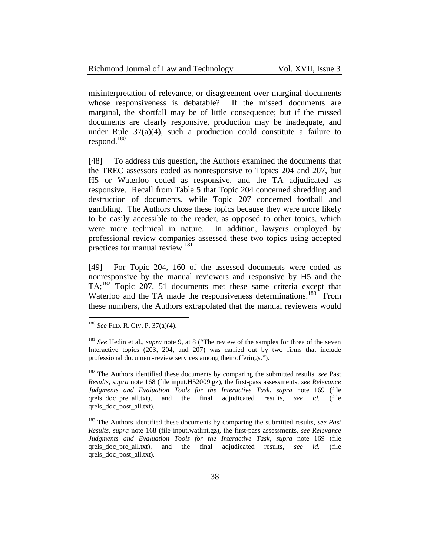misinterpretation of relevance, or disagreement over marginal documents whose responsiveness is debatable? If the missed documents are marginal, the shortfall may be of little consequence; but if the missed documents are clearly responsive, production may be inadequate, and under Rule 37(a)(4), such a production could constitute a failure to respond. $180$ 

[48] To address this question, the Authors examined the documents that the TREC assessors coded as nonresponsive to Topics 204 and 207, but H5 or Waterloo coded as responsive, and the TA adjudicated as responsive. Recall from Table 5 that Topic 204 concerned shredding and destruction of documents, while Topic 207 concerned football and gambling. The Authors chose these topics because they were more likely to be easily accessible to the reader, as opposed to other topics, which were more technical in nature. In addition, lawyers employed by professional review companies assessed these two topics using accepted practices for manual review.<sup>181</sup>

[49] For Topic 204, 160 of the assessed documents were coded as nonresponsive by the manual reviewers and responsive by H5 and the  $TA: <sup>182</sup>$  Topic 207, 51 documents met these same criteria except that Waterloo and the TA made the responsiveness determinations.<sup>183</sup> From these numbers, the Authors extrapolated that the manual reviewers would

 $\overline{a}$ 

<sup>182</sup> The Authors identified these documents by comparing the submitted results, *see* Past *Results*, *supra* note 168 (file input.H52009.gz), the first-pass assessments, *see Relevance Judgments and Evaluation Tools for the Interactive Task*, *supra* note 169 (file qrels\_doc\_pre\_all.txt), and the final adjudicated results, *see id.* (file qrels\_doc\_post\_all.txt).

<sup>180</sup> *See* FED. R. CIV. P. 37(a)(4).

<sup>181</sup> *See* Hedin et al., *supra* note 9, at 8 ("The review of the samples for three of the seven Interactive topics (203, 204, and 207) was carried out by two firms that include professional document-review services among their offerings.").

<sup>183</sup> The Authors identified these documents by comparing the submitted results, *see Past Results*, *supra* note 168 (file input.watlint.gz), the first-pass assessments, *see Relevance Judgments and Evaluation Tools for the Interactive Task*, *supra* note 169 (file qrels\_doc\_pre\_all.txt), and the final adjudicated results, *see id.* (file qrels\_doc\_post\_all.txt).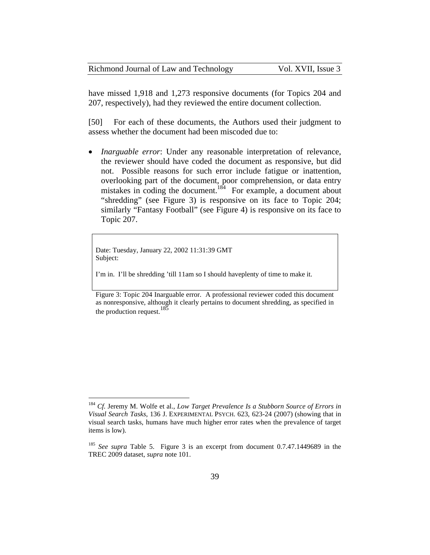| Richmond Journal of Law and Technology | Vol. XVII, Issue 3 |
|----------------------------------------|--------------------|
|----------------------------------------|--------------------|

have missed 1,918 and 1,273 responsive documents (for Topics 204 and 207, respectively), had they reviewed the entire document collection.

[50] For each of these documents, the Authors used their judgment to assess whether the document had been miscoded due to:

 *Inarguable error*: Under any reasonable interpretation of relevance, the reviewer should have coded the document as responsive, but did not. Possible reasons for such error include fatigue or inattention, overlooking part of the document, poor comprehension, or data entry mistakes in coding the document.<sup>184</sup> For example, a document about "shredding" (see Figure 3) is responsive on its face to Topic 204; similarly "Fantasy Football" (see Figure 4) is responsive on its face to Topic 207.

Date: Tuesday, January 22, 2002 11:31:39 GMT Subject:

 $\overline{a}$ 

I'm in. I'll be shredding 'till 11am so I should haveplenty of time to make it.

Figure 3: Topic 204 Inarguable error. A professional reviewer coded this document as nonresponsive, although it clearly pertains to document shredding, as specified in the production request.  $185$ 

<sup>184</sup> *Cf.* Jeremy M. Wolfe et al., *Low Target Prevalence Is a Stubborn Source of Errors in Visual Search Tasks*, 136 J. EXPERIMENTAL PSYCH. 623, 623-24 (2007) (showing that in visual search tasks, humans have much higher error rates when the prevalence of target items is low).

<sup>185</sup> *See supra* Table 5. Figure 3 is an excerpt from document 0.7.47.1449689 in the TREC 2009 dataset, *supra* note 101.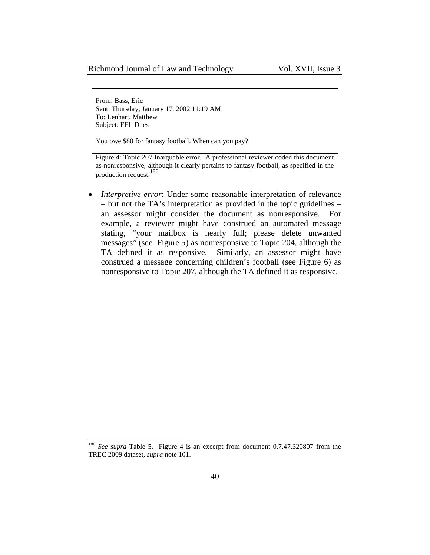From: Bass, Eric Sent: Thursday, January 17, 2002 11:19 AM To: Lenhart, Matthew Subject: FFL Dues

You owe \$80 for fantasy football. When can you pay?

Figure 4: Topic 207 Inarguable error. A professional reviewer coded this document as nonresponsive, although it clearly pertains to fantasy football, as specified in the production request.<sup>186</sup>

 *Interpretive error*: Under some reasonable interpretation of relevance – but not the TA's interpretation as provided in the topic guidelines – an assessor might consider the document as nonresponsive. For example, a reviewer might have construed an automated message stating, "your mailbox is nearly full; please delete unwanted messages" (see Figure 5) as nonresponsive to Topic 204, although the TA defined it as responsive. Similarly, an assessor might have construed a message concerning children's football (see Figure 6) as nonresponsive to Topic 207, although the TA defined it as responsive.

<sup>186</sup> *See supra* Table 5. Figure 4 is an excerpt from document 0.7.47.320807 from the TREC 2009 dataset, *supra* note 101.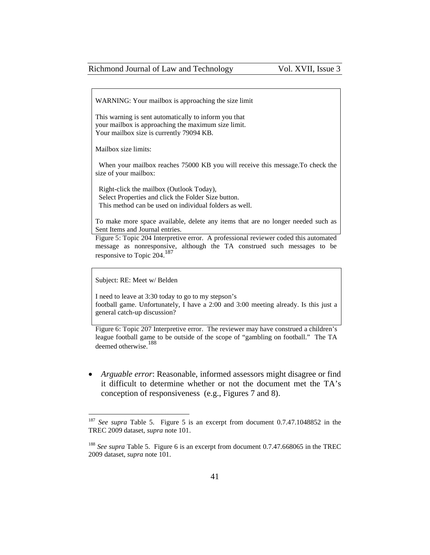WARNING: Your mailbox is approaching the size limit

This warning is sent automatically to inform you that your mailbox is approaching the maximum size limit. Your mailbox size is currently 79094 KB.

Mailbox size limits:

 When your mailbox reaches 75000 KB you will receive this message.To check the size of your mailbox:

 Right-click the mailbox (Outlook Today), Select Properties and click the Folder Size button. This method can be used on individual folders as well.

To make more space available, delete any items that are no longer needed such as Sent Items and Journal entries.

Figure 5: Topic 204 Interpretive error. A professional reviewer coded this automated message as nonresponsive, although the TA construed such messages to be responsive to Topic 204.<sup>187</sup>

Subject: RE: Meet w/ Belden

 $\overline{a}$ 

I need to leave at 3:30 today to go to my stepson's football game. Unfortunately, I have a 2:00 and 3:00 meeting already. Is this just a general catch-up discussion?

Figure 6: Topic 207 Interpretive error. The reviewer may have construed a children's league football game to be outside of the scope of "gambling on football." The TA deemed otherwise.<sup>188</sup>

 *Arguable error*: Reasonable, informed assessors might disagree or find it difficult to determine whether or not the document met the TA's conception of responsiveness (e.g., Figures 7 and 8).

<sup>187</sup> *See supra* Table 5. Figure 5 is an excerpt from document 0.7.47.1048852 in the TREC 2009 dataset, *supra* note 101.

<sup>&</sup>lt;sup>188</sup> See supra Table 5. Figure 6 is an excerpt from document 0.7.47.668065 in the TREC 2009 dataset, *supra* note 101.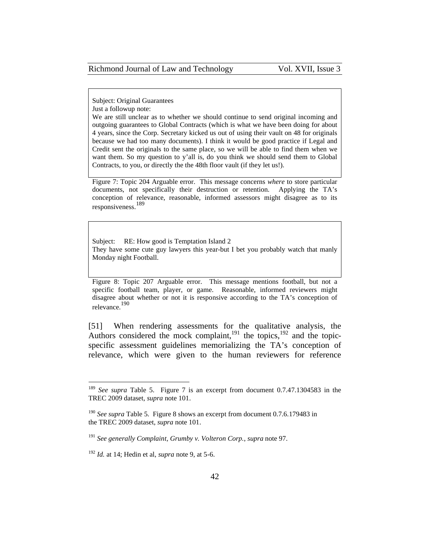Subject: Original Guarantees Just a followup note:

We are still unclear as to whether we should continue to send original incoming and outgoing guarantees to Global Contracts (which is what we have been doing for about 4 years, since the Corp. Secretary kicked us out of using their vault on 48 for originals because we had too many documents). I think it would be good practice if Legal and Credit sent the originals to the same place, so we will be able to find them when we want them. So my question to y'all is, do you think we should send them to Global Contracts, to you, or directly the the 48th floor vault (if they let us!).

Figure 7: Topic 204 Arguable error. This message concerns *where* to store particular documents, not specifically their destruction or retention. Applying the TA's conception of relevance, reasonable, informed assessors might disagree as to its responsiveness.<sup>189</sup>

Subject: RE: How good is Temptation Island 2 They have some cute guy lawyers this year-but I bet you probably watch that manly Monday night Football.

Figure 8: Topic 207 Arguable error. This message mentions football, but not a specific football team, player, or game. Reasonable, informed reviewers might disagree about whether or not it is responsive according to the TA's conception of relevance.<sup>190</sup>

[51] When rendering assessments for the qualitative analysis, the Authors considered the mock complaint,  $191$  the topics,  $192$  and the topicspecific assessment guidelines memorializing the TA's conception of relevance, which were given to the human reviewers for reference

<sup>189</sup> *See supra* Table 5. Figure 7 is an excerpt from document 0.7.47.1304583 in the TREC 2009 dataset, *supra* note 101.

<sup>190</sup> *See supra* Table 5. Figure 8 shows an excerpt from document 0.7.6.179483 in the TREC 2009 dataset, *supra* note 101.

<sup>191</sup> *See generally Complaint, Grumby v. Volteron Corp.*, *supra* note 97.

<sup>192</sup> *Id.* at 14; Hedin et al, *supra* note 9, at 5-6.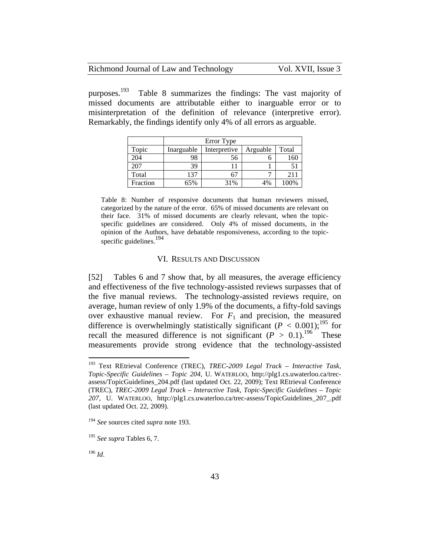| Richmond Journal of Law and Technology | Vol. XVII, Issue 3 |
|----------------------------------------|--------------------|
|----------------------------------------|--------------------|

purposes.<sup>193</sup> Table 8 summarizes the findings: The vast majority of missed documents are attributable either to inarguable error or to misinterpretation of the definition of relevance (interpretive error). Remarkably, the findings identify only 4% of all errors as arguable.

|          | Error Type |              |          |       |
|----------|------------|--------------|----------|-------|
| Topic    | Inarguable | Interpretive | Arguable | Total |
| 204      | 98         | 56           |          | 160   |
| 207      | 39         |              |          |       |
| Total    | 137        |              |          | 211   |
| Fraction | 65%        | 31%          | 4%       | 00%   |

Table 8: Number of responsive documents that human reviewers missed, categorized by the nature of the error. 65% of missed documents are relevant on their face. 31% of missed documents are clearly relevant, when the topicspecific guidelines are considered. Only 4% of missed documents, in the opinion of the Authors, have debatable responsiveness, according to the topicspecific guidelines.<sup>194</sup>

#### VI. RESULTS AND DISCUSSION

[52] Tables 6 and 7 show that, by all measures, the average efficiency and effectiveness of the five technology-assisted reviews surpasses that of the five manual reviews. The technology-assisted reviews require, on average, human review of only 1.9% of the documents, a fifty-fold savings over exhaustive manual review. For  $F_1$  and precision, the measured difference is overwhelmingly statistically significant  $(P < 0.001)$ ;<sup>195</sup> for recall the measured difference is not significant  $(P > 0.1)$ .<sup>196</sup> These measurements provide strong evidence that the technology-assisted

<sup>196</sup> *Id*.

<sup>193</sup> Text REtrieval Conference (TREC), *TREC-2009 Legal Track – Interactive Task, Topic-Specific Guidelines – Topic 204*, U. WATERLOO, http://plg1.cs.uwaterloo.ca/trecassess/TopicGuidelines\_204.pdf (last updated Oct. 22, 2009); Text REtrieval Conference (TREC), *TREC-2009 Legal Track – Interactive Task, Topic-Specific Guidelines – Topic 207*, U. WATERLOO, http://plg1.cs.uwaterloo.ca/trec-assess/TopicGuidelines\_207\_.pdf (last updated Oct. 22, 2009).

<sup>194</sup> *See* sources cited *supra* note 193.

<sup>195</sup> *See supra* Tables 6, 7.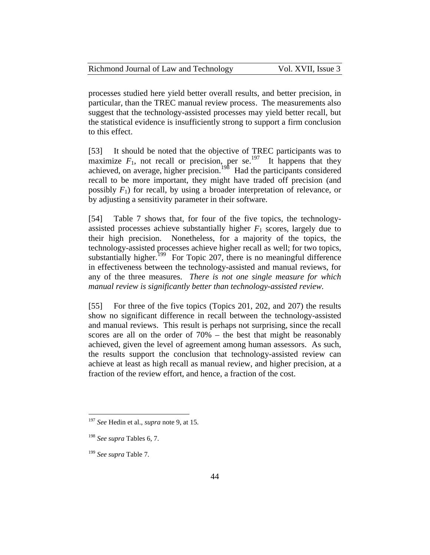| Richmond Journal of Law and Technology | Vol. XVII, Issue 3 |
|----------------------------------------|--------------------|
|----------------------------------------|--------------------|

processes studied here yield better overall results, and better precision, in particular, than the TREC manual review process. The measurements also suggest that the technology-assisted processes may yield better recall, but the statistical evidence is insufficiently strong to support a firm conclusion to this effect.

[53] It should be noted that the objective of TREC participants was to maximize  $F_1$ , not recall or precision, per se.<sup>197</sup> It happens that they achieved, on average, higher precision.<sup>198</sup> Had the participants considered recall to be more important, they might have traded off precision (and possibly  $F_1$ ) for recall, by using a broader interpretation of relevance, or by adjusting a sensitivity parameter in their software.

[54] Table 7 shows that, for four of the five topics, the technologyassisted processes achieve substantially higher  $F_1$  scores, largely due to their high precision. Nonetheless, for a majority of the topics, the technology-assisted processes achieve higher recall as well; for two topics, substantially higher.<sup>199</sup> For Topic 207, there is no meaningful difference in effectiveness between the technology-assisted and manual reviews, for any of the three measures. *There is not one single measure for which manual review is significantly better than technology-assisted review.*

[55] For three of the five topics (Topics 201, 202, and 207) the results show no significant difference in recall between the technology-assisted and manual reviews. This result is perhaps not surprising, since the recall scores are all on the order of 70% – the best that might be reasonably achieved, given the level of agreement among human assessors. As such, the results support the conclusion that technology-assisted review can achieve at least as high recall as manual review, and higher precision, at a fraction of the review effort, and hence, a fraction of the cost.

<sup>197</sup> *See* Hedin et al., *supra* note 9, at 15.

<sup>198</sup> *See supra* Tables 6, 7.

<sup>199</sup> *See supra* Table 7.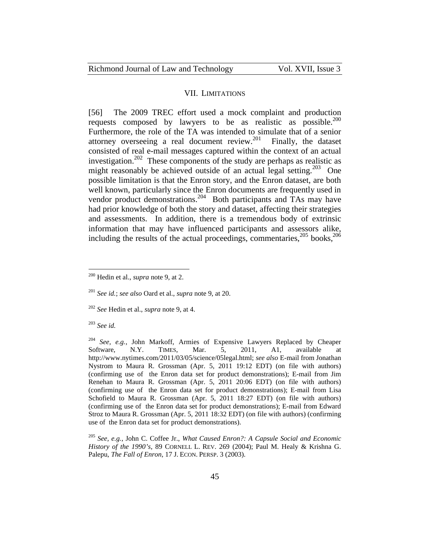#### VII. LIMITATIONS

[56] The 2009 TREC effort used a mock complaint and production requests composed by lawyers to be as realistic as possible.<sup>200</sup> Furthermore, the role of the TA was intended to simulate that of a senior attorney overseeing a real document review.<sup>201</sup> Finally, the dataset consisted of real e-mail messages captured within the context of an actual investigation.<sup>202</sup> These components of the study are perhaps as realistic as might reasonably be achieved outside of an actual legal setting.<sup>203</sup> One possible limitation is that the Enron story, and the Enron dataset, are both well known, particularly since the Enron documents are frequently used in vendor product demonstrations.<sup>204</sup> Both participants and TAs may have had prior knowledge of both the story and dataset, affecting their strategies and assessments. In addition, there is a tremendous body of extrinsic information that may have influenced participants and assessors alike, including the results of the actual proceedings, commentaries, $205 \text{ books}$ ,  $206$ 

<sup>203</sup> *See id.*

<sup>200</sup> Hedin et al., *supra* note 9, at 2.

<sup>201</sup> *See id.*; *see also* Oard et al., *supra* note 9, at 20.

<sup>202</sup> *See* Hedin et al., *supra* note 9, at 4.

<sup>204</sup> *See, e.g.*, John Markoff, Armies of Expensive Lawyers Replaced by Cheaper Software, N.Y. TIMES, Mar. 5, 2011, A1, available at http://www.nytimes.com/2011/03/05/science/05legal.html; *see also* E-mail from Jonathan Nystrom to Maura R. Grossman (Apr. 5, 2011 19:12 EDT) (on file with authors) (confirming use of the Enron data set for product demonstrations); E-mail from Jim Renehan to Maura R. Grossman (Apr. 5, 2011 20:06 EDT) (on file with authors) (confirming use of the Enron data set for product demonstrations); E-mail from Lisa Schofield to Maura R. Grossman (Apr. 5, 2011 18:27 EDT) (on file with authors) (confirming use of the Enron data set for product demonstrations); E-mail from Edward Stroz to Maura R. Grossman (Apr. 5, 2011 18:32 EDT) (on file with authors) (confirming use of the Enron data set for product demonstrations).

<sup>205</sup> *See, e.g.*, John C. Coffee Jr., *What Caused Enron?: A Capsule Social and Economic History of the 1990's*, 89 CORNELL L. REV. 269 (2004); Paul M. Healy & Krishna G. Palepu, *The Fall of Enron*, 17 J. ECON. PERSP. 3 (2003).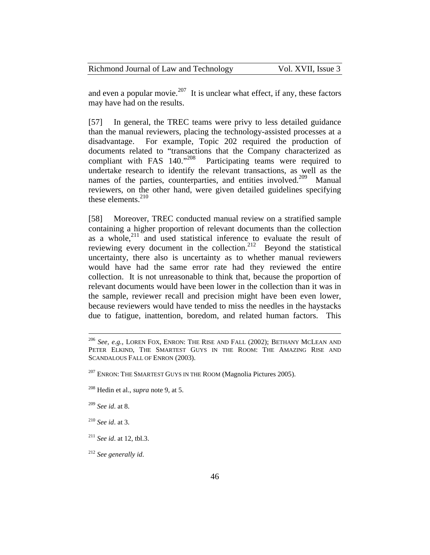and even a popular movie.<sup>207</sup> It is unclear what effect, if any, these factors may have had on the results.

[57] In general, the TREC teams were privy to less detailed guidance than the manual reviewers, placing the technology-assisted processes at a disadvantage. For example, Topic 202 required the production of documents related to "transactions that the Company characterized as compliant with FAS 140."<sup>208</sup> Participating teams were required to undertake research to identify the relevant transactions, as well as the names of the parties, counterparties, and entities involved.<sup>209</sup> Manual reviewers, on the other hand, were given detailed guidelines specifying these elements. $210$ 

[58] Moreover, TREC conducted manual review on a stratified sample containing a higher proportion of relevant documents than the collection as a whole, $^{211}$  and used statistical inference to evaluate the result of reviewing every document in the collection.<sup>212</sup> Beyond the statistical uncertainty, there also is uncertainty as to whether manual reviewers would have had the same error rate had they reviewed the entire collection. It is not unreasonable to think that, because the proportion of relevant documents would have been lower in the collection than it was in the sample, reviewer recall and precision might have been even lower, because reviewers would have tended to miss the needles in the haystacks due to fatigue, inattention, boredom, and related human factors. This

<sup>209</sup> *See id*. at 8.

 $\overline{a}$ 

<sup>210</sup> *See id*. at 3.

<sup>212</sup> *See generally id*.

<sup>206</sup> *See, e.g.*, LOREN FOX, ENRON: THE RISE AND FALL (2002); BETHANY MCLEAN AND PETER ELKIND, THE SMARTEST GUYS IN THE ROOM: THE AMAZING RISE AND SCANDALOUS FALL OF ENRON (2003).

 $^{207}$  ENRON: THE SMARTEST GUYS IN THE ROOM (Magnolia Pictures 2005).

<sup>208</sup> Hedin et al., *supra* note 9, at 5.

<sup>211</sup> *See id*. at 12, tbl.3.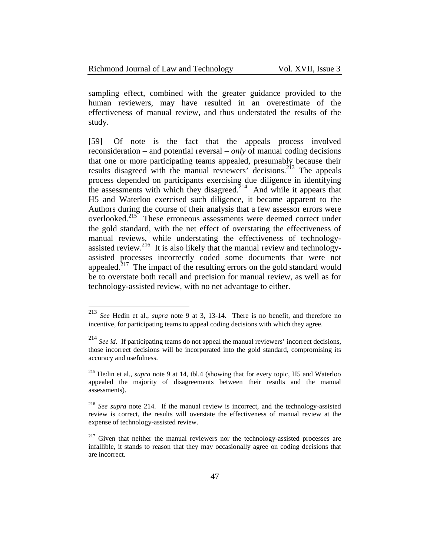| Richmond Journal of Law and Technology | Vol. XVII, Issue 3 |
|----------------------------------------|--------------------|
|----------------------------------------|--------------------|

sampling effect, combined with the greater guidance provided to the human reviewers, may have resulted in an overestimate of the effectiveness of manual review, and thus understated the results of the study.

[59] Of note is the fact that the appeals process involved reconsideration – and potential reversal – *only* of manual coding decisions that one or more participating teams appealed, presumably because their results disagreed with the manual reviewers' decisions.<sup>213</sup> The appeals process depended on participants exercising due diligence in identifying the assessments with which they disagreed.<sup>214</sup> And while it appears that H5 and Waterloo exercised such diligence, it became apparent to the Authors during the course of their analysis that a few assessor errors were overlooked.<sup>215</sup> These erroneous assessments were deemed correct under the gold standard, with the net effect of overstating the effectiveness of manual reviews, while understating the effectiveness of technologyassisted review.<sup>216</sup> It is also likely that the manual review and technologyassisted processes incorrectly coded some documents that were not appealed.<sup>217</sup> The impact of the resulting errors on the gold standard would be to overstate both recall and precision for manual review, as well as for technology-assisted review, with no net advantage to either.

<sup>213</sup> *See* Hedin et al., *supra* note 9 at 3, 13-14. There is no benefit, and therefore no incentive, for participating teams to appeal coding decisions with which they agree.

<sup>214</sup> *See id.* If participating teams do not appeal the manual reviewers' incorrect decisions, those incorrect decisions will be incorporated into the gold standard, compromising its accuracy and usefulness.

<sup>215</sup> Hedin et al., *supra* note 9 at 14, tbl.4 (showing that for every topic, H5 and Waterloo appealed the majority of disagreements between their results and the manual assessments).

<sup>216</sup> *See supra* note 214. If the manual review is incorrect, and the technology-assisted review is correct, the results will overstate the effectiveness of manual review at the expense of technology-assisted review.

 $2^{17}$  Given that neither the manual reviewers nor the technology-assisted processes are infallible, it stands to reason that they may occasionally agree on coding decisions that are incorrect.